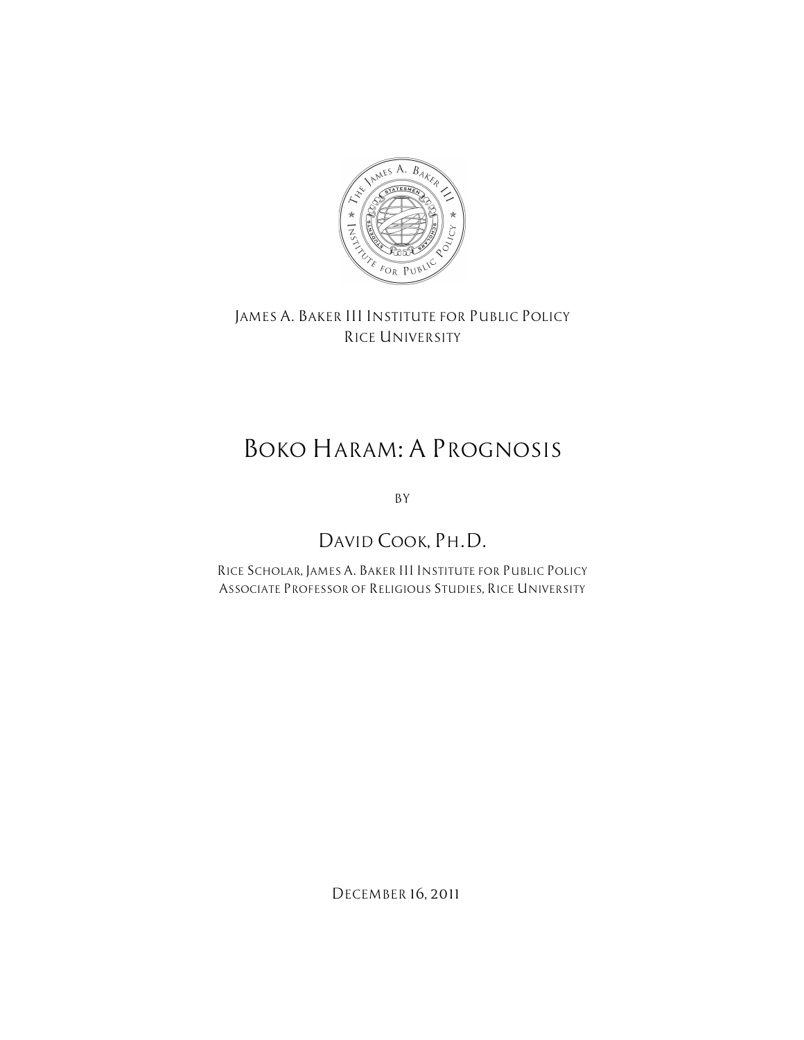

*JAMES A. BAKER III INSTITUTE FOR PUBLIC POLICY RICE UNIVERSITY*

# *BOKO HARAM: A PROGNOSIS*

*BY*

# *DAVID COOK, PH.D.*

*RICE SCHOLAR, JAMES A. BAKER III INSTITUTE FOR PUBLIC POLICY ASSOCIATE PROFESSOR OF RELIGIOUS STUDIES, RICE UNIVERSITY*

*DECEMBER 16, 2011*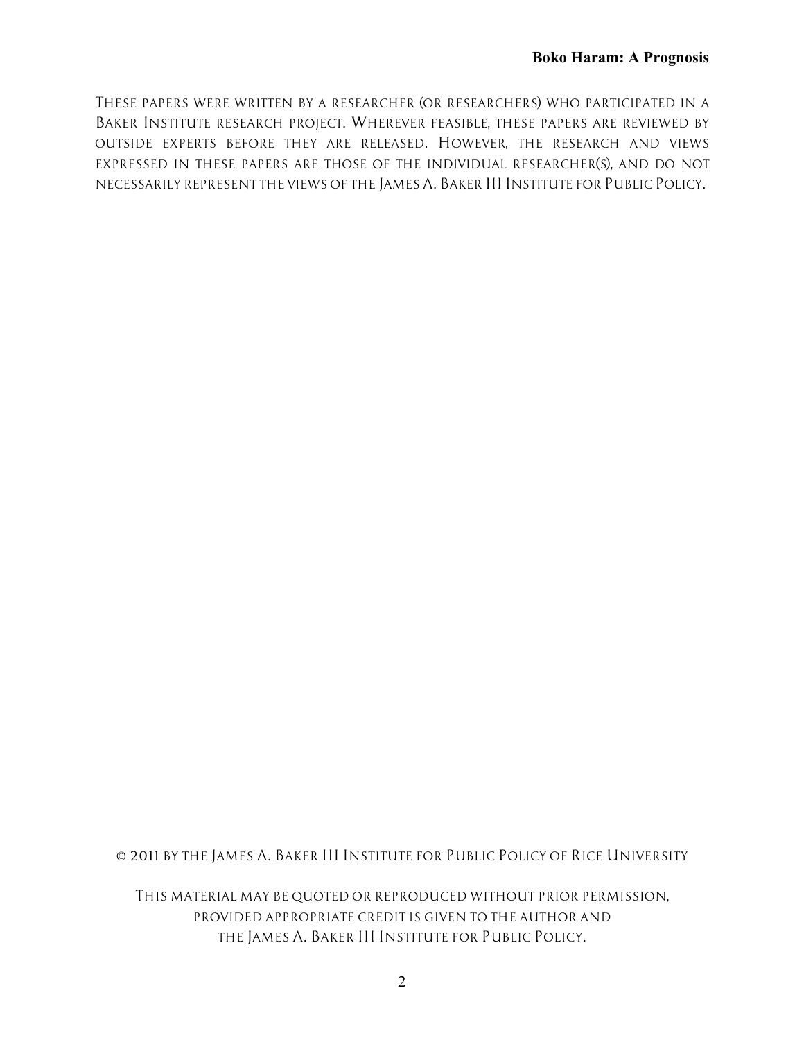*THESE PAPERS WERE WRITTEN BY A RESEARCHER (OR RESEARCHERS) WHO PARTICIPATED IN A BAKER INSTITUTE RESEARCH PROJECT. WHEREVER FEASIBLE, THESE PAPERS ARE REVIEWED BY OUTSIDE EXPERTS BEFORE THEY ARE RELEASED. HOWEVER, THE RESEARCH AND VIEWS EXPRESSED IN THESE PAPERS ARE THOSE OF THE INDIVIDUAL RESEARCHER(S), AND DO NOT NECESSARILY REPRESENT THE VIEWS OF THE JAMES A. BAKER III INSTITUTE FOR PUBLIC POLICY.*

*© 2011 BY THE JAMES A. BAKER III INSTITUTE FOR PUBLIC POLICY OF RICE UNIVERSITY*

*THIS MATERIAL MAY BE QUOTED OR REPRODUCED WITHOUT PRIOR PERMISSION, PROVIDED APPROPRIATE CREDIT IS GIVEN TO THE AUTHOR AND THE JAMES A. BAKER III INSTITUTE FOR PUBLIC POLICY.*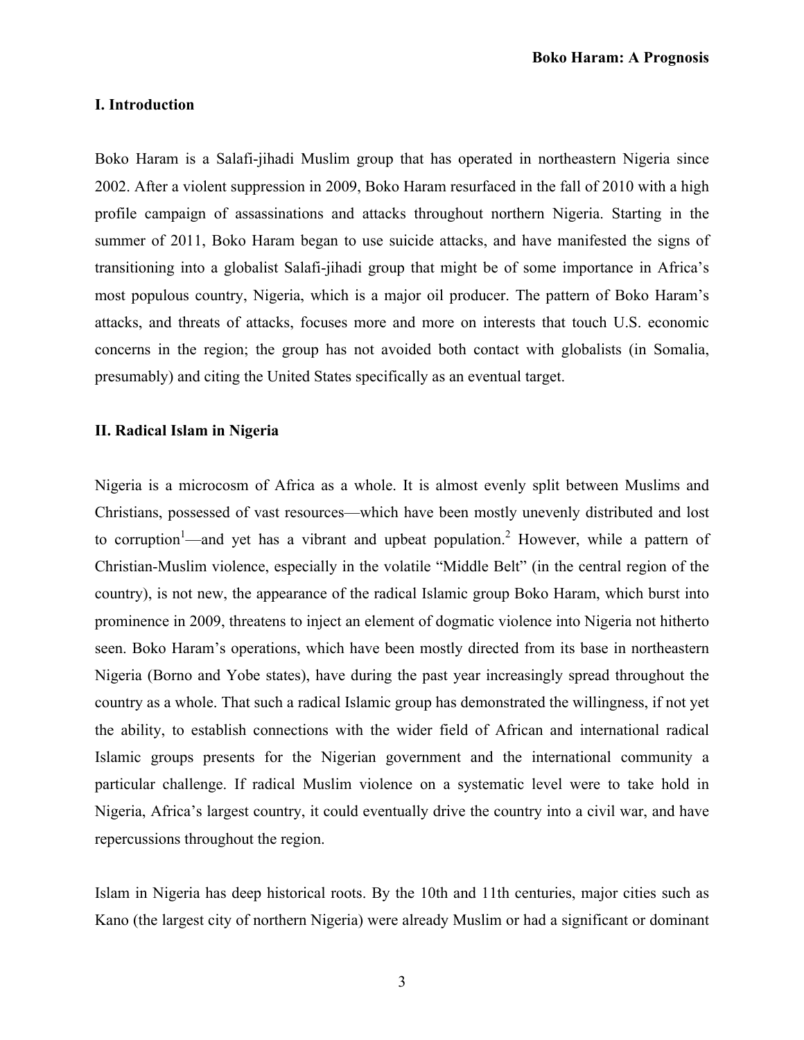#### **I. Introduction**

Boko Haram is a Salafi-jihadi Muslim group that has operated in northeastern Nigeria since 2002. After a violent suppression in 2009, Boko Haram resurfaced in the fall of 2010 with a high profile campaign of assassinations and attacks throughout northern Nigeria. Starting in the summer of 2011, Boko Haram began to use suicide attacks, and have manifested the signs of transitioning into a globalist Salafi-jihadi group that might be of some importance in Africa's most populous country, Nigeria, which is a major oil producer. The pattern of Boko Haram's attacks, and threats of attacks, focuses more and more on interests that touch U.S. economic concerns in the region; the group has not avoided both contact with globalists (in Somalia, presumably) and citing the United States specifically as an eventual target.

#### **II. Radical Islam in Nigeria**

Nigeria is a microcosm of Africa as a whole. It is almost evenly split between Muslims and Christians, possessed of vast resources—which have been mostly unevenly distributed and lost to corruption<sup>1</sup>—and yet has a vibrant and upbeat population.<sup>2</sup> However, while a pattern of Christian-Muslim violence, especially in the volatile "Middle Belt" (in the central region of the country), is not new, the appearance of the radical Islamic group Boko Haram, which burst into prominence in 2009, threatens to inject an element of dogmatic violence into Nigeria not hitherto seen. Boko Haram's operations, which have been mostly directed from its base in northeastern Nigeria (Borno and Yobe states), have during the past year increasingly spread throughout the country as a whole. That such a radical Islamic group has demonstrated the willingness, if not yet the ability, to establish connections with the wider field of African and international radical Islamic groups presents for the Nigerian government and the international community a particular challenge. If radical Muslim violence on a systematic level were to take hold in Nigeria, Africa's largest country, it could eventually drive the country into a civil war, and have repercussions throughout the region.

Islam in Nigeria has deep historical roots. By the 10th and 11th centuries, major cities such as Kano (the largest city of northern Nigeria) were already Muslim or had a significant or dominant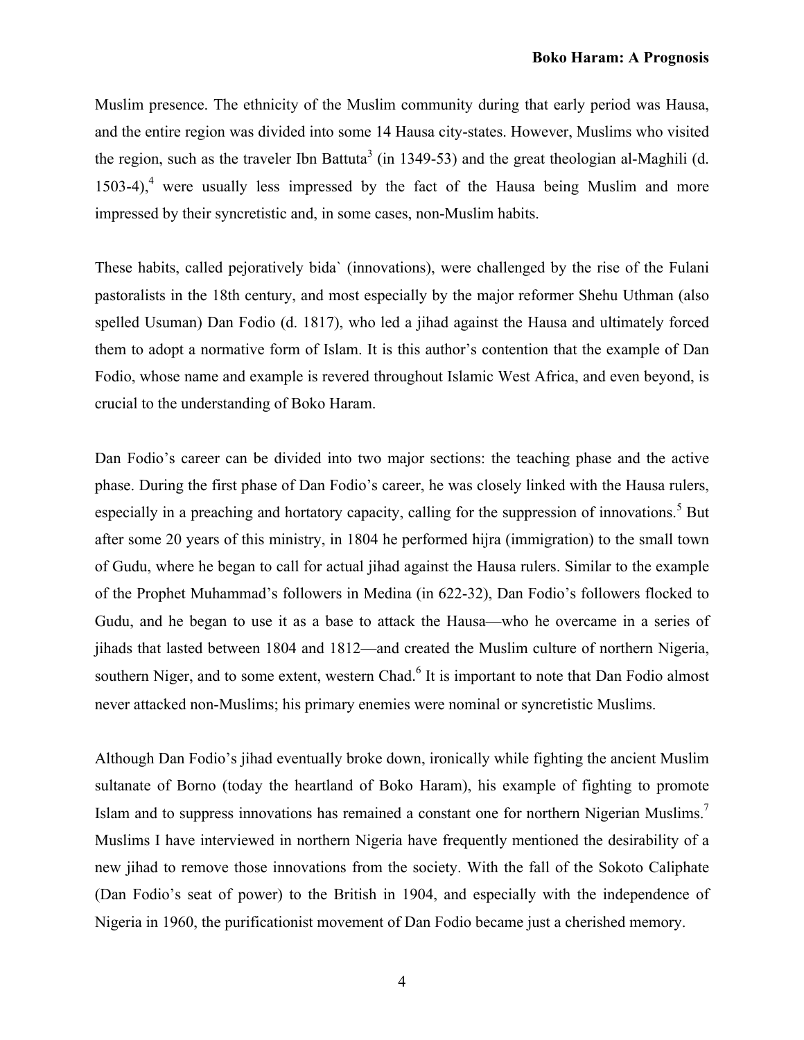Muslim presence. The ethnicity of the Muslim community during that early period was Hausa, and the entire region was divided into some 14 Hausa city-states. However, Muslims who visited the region, such as the traveler Ibn Battuta<sup>3</sup> (in 1349-53) and the great theologian al-Maghili (d.  $1503-4$ ,<sup>4</sup> were usually less impressed by the fact of the Hausa being Muslim and more impressed by their syncretistic and, in some cases, non-Muslim habits.

These habits, called pejoratively bida` (innovations), were challenged by the rise of the Fulani pastoralists in the 18th century, and most especially by the major reformer Shehu Uthman (also spelled Usuman) Dan Fodio (d. 1817), who led a jihad against the Hausa and ultimately forced them to adopt a normative form of Islam. It is this author's contention that the example of Dan Fodio, whose name and example is revered throughout Islamic West Africa, and even beyond, is crucial to the understanding of Boko Haram.

Dan Fodio's career can be divided into two major sections: the teaching phase and the active phase. During the first phase of Dan Fodio's career, he was closely linked with the Hausa rulers, especially in a preaching and hortatory capacity, calling for the suppression of innovations.<sup>5</sup> But after some 20 years of this ministry, in 1804 he performed hijra (immigration) to the small town of Gudu, where he began to call for actual jihad against the Hausa rulers. Similar to the example of the Prophet Muhammad's followers in Medina (in 622-32), Dan Fodio's followers flocked to Gudu, and he began to use it as a base to attack the Hausa—who he overcame in a series of jihads that lasted between 1804 and 1812—and created the Muslim culture of northern Nigeria, southern Niger, and to some extent, western Chad.<sup>6</sup> It is important to note that Dan Fodio almost never attacked non-Muslims; his primary enemies were nominal or syncretistic Muslims.

Although Dan Fodio's jihad eventually broke down, ironically while fighting the ancient Muslim sultanate of Borno (today the heartland of Boko Haram), his example of fighting to promote Islam and to suppress innovations has remained a constant one for northern Nigerian Muslims.<sup>7</sup> Muslims I have interviewed in northern Nigeria have frequently mentioned the desirability of a new jihad to remove those innovations from the society. With the fall of the Sokoto Caliphate (Dan Fodio's seat of power) to the British in 1904, and especially with the independence of Nigeria in 1960, the purificationist movement of Dan Fodio became just a cherished memory.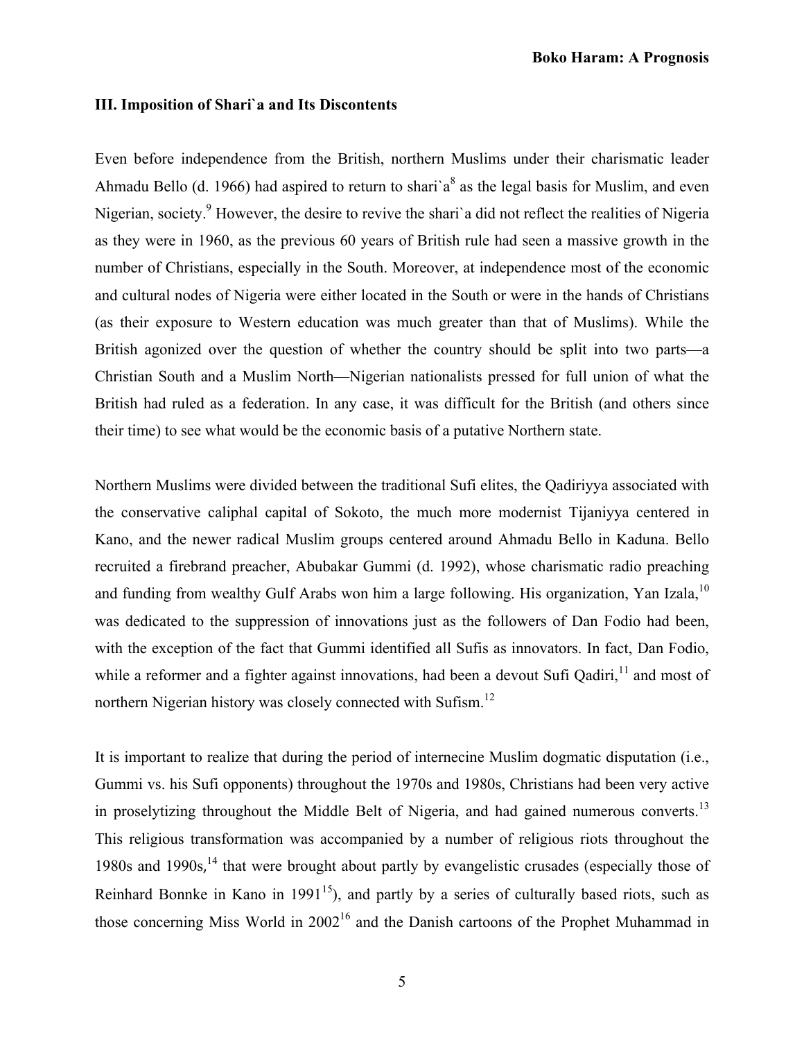### **III. Imposition of Shari`a and Its Discontents**

Even before independence from the British, northern Muslims under their charismatic leader Ahmadu Bello (d. 1966) had aspired to return to shari'a<sup>8</sup> as the legal basis for Muslim, and even Nigerian, society.<sup>9</sup> However, the desire to revive the shari'a did not reflect the realities of Nigeria as they were in 1960, as the previous 60 years of British rule had seen a massive growth in the number of Christians, especially in the South. Moreover, at independence most of the economic and cultural nodes of Nigeria were either located in the South or were in the hands of Christians (as their exposure to Western education was much greater than that of Muslims). While the British agonized over the question of whether the country should be split into two parts—a Christian South and a Muslim North—Nigerian nationalists pressed for full union of what the British had ruled as a federation. In any case, it was difficult for the British (and others since their time) to see what would be the economic basis of a putative Northern state.

Northern Muslims were divided between the traditional Sufi elites, the Qadiriyya associated with the conservative caliphal capital of Sokoto, the much more modernist Tijaniyya centered in Kano, and the newer radical Muslim groups centered around Ahmadu Bello in Kaduna. Bello recruited a firebrand preacher, Abubakar Gummi (d. 1992), whose charismatic radio preaching and funding from wealthy Gulf Arabs won him a large following. His organization, Yan Izala,<sup>10</sup> was dedicated to the suppression of innovations just as the followers of Dan Fodio had been, with the exception of the fact that Gummi identified all Sufis as innovators. In fact, Dan Fodio, while a reformer and a fighter against innovations, had been a devout Sufi Qadiri,  $\frac{1}{1}$  and most of northern Nigerian history was closely connected with Sufism.<sup>12</sup>

It is important to realize that during the period of internecine Muslim dogmatic disputation (i.e., Gummi vs. his Sufi opponents) throughout the 1970s and 1980s, Christians had been very active in proselytizing throughout the Middle Belt of Nigeria, and had gained numerous converts.<sup>13</sup> This religious transformation was accompanied by a number of religious riots throughout the 1980s and 1990s,<sup>14</sup> that were brought about partly by evangelistic crusades (especially those of Reinhard Bonnke in Kano in  $1991<sup>15</sup>$ ), and partly by a series of culturally based riots, such as those concerning Miss World in  $2002^{16}$  and the Danish cartoons of the Prophet Muhammad in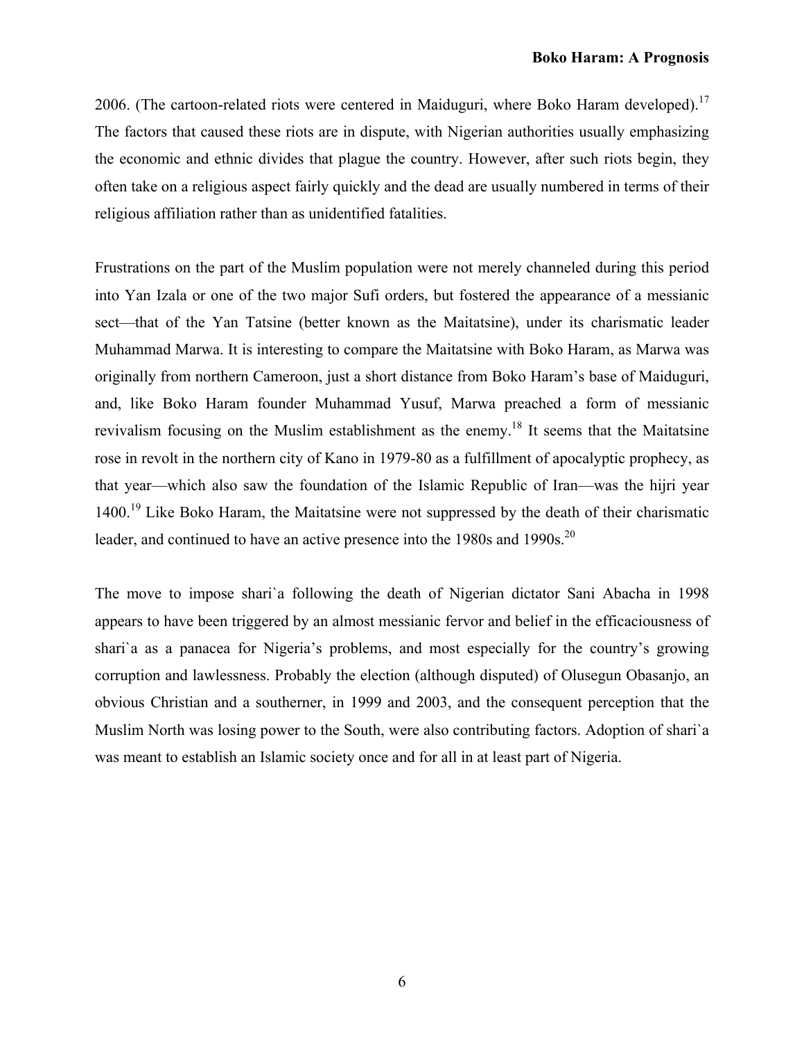2006. (The cartoon-related riots were centered in Maiduguri, where Boko Haram developed).<sup>17</sup> The factors that caused these riots are in dispute, with Nigerian authorities usually emphasizing the economic and ethnic divides that plague the country. However, after such riots begin, they often take on a religious aspect fairly quickly and the dead are usually numbered in terms of their religious affiliation rather than as unidentified fatalities.

Frustrations on the part of the Muslim population were not merely channeled during this period into Yan Izala or one of the two major Sufi orders, but fostered the appearance of a messianic sect—that of the Yan Tatsine (better known as the Maitatsine), under its charismatic leader Muhammad Marwa. It is interesting to compare the Maitatsine with Boko Haram, as Marwa was originally from northern Cameroon, just a short distance from Boko Haram's base of Maiduguri, and, like Boko Haram founder Muhammad Yusuf, Marwa preached a form of messianic revivalism focusing on the Muslim establishment as the enemy.18 It seems that the Maitatsine rose in revolt in the northern city of Kano in 1979-80 as a fulfillment of apocalyptic prophecy, as that year—which also saw the foundation of the Islamic Republic of Iran—was the hijri year 1400.<sup>19</sup> Like Boko Haram, the Maitatsine were not suppressed by the death of their charismatic leader, and continued to have an active presence into the 1980s and 1990s.<sup>20</sup>

The move to impose shari`a following the death of Nigerian dictator Sani Abacha in 1998 appears to have been triggered by an almost messianic fervor and belief in the efficaciousness of shari`a as a panacea for Nigeria's problems, and most especially for the country's growing corruption and lawlessness. Probably the election (although disputed) of Olusegun Obasanjo, an obvious Christian and a southerner, in 1999 and 2003, and the consequent perception that the Muslim North was losing power to the South, were also contributing factors. Adoption of shari`a was meant to establish an Islamic society once and for all in at least part of Nigeria.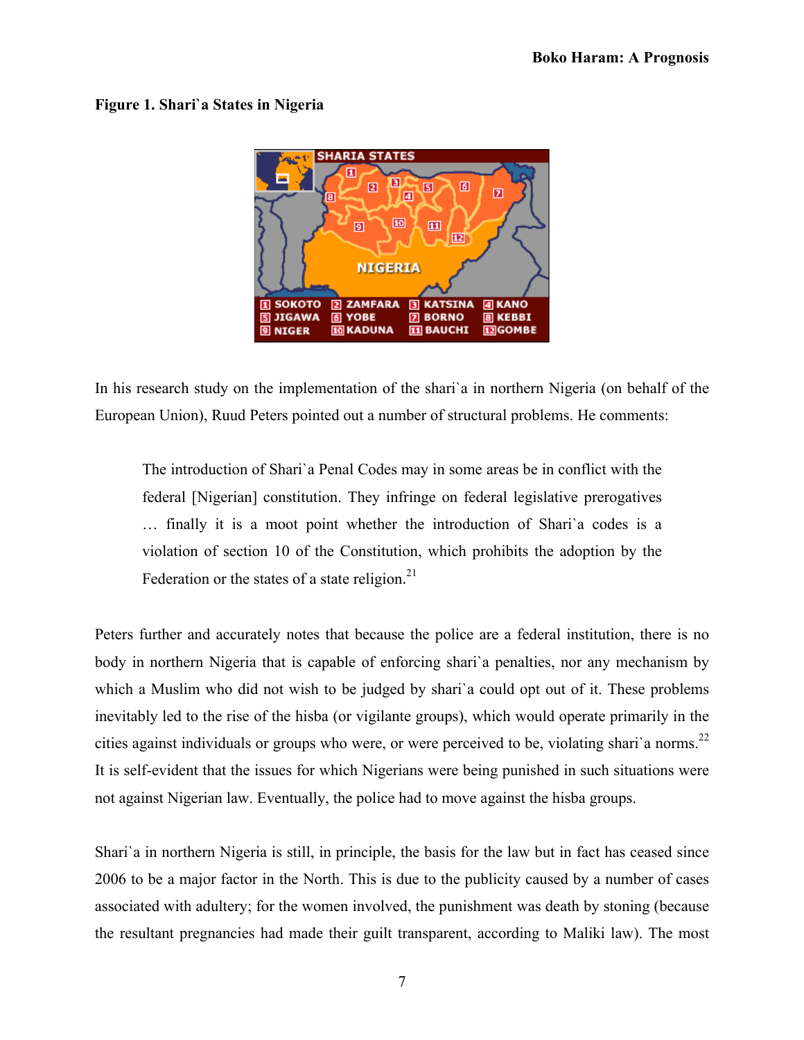# **Figure 1. Shari`a States in Nigeria**



In his research study on the implementation of the shari`a in northern Nigeria (on behalf of the European Union), Ruud Peters pointed out a number of structural problems. He comments:

The introduction of Shari`a Penal Codes may in some areas be in conflict with the federal [Nigerian] constitution. They infringe on federal legislative prerogatives … finally it is a moot point whether the introduction of Shari`a codes is a violation of section 10 of the Constitution, which prohibits the adoption by the Federation or the states of a state religion. $21$ 

Peters further and accurately notes that because the police are a federal institution, there is no body in northern Nigeria that is capable of enforcing shari`a penalties, nor any mechanism by which a Muslim who did not wish to be judged by shari`a could opt out of it. These problems inevitably led to the rise of the hisba (or vigilante groups), which would operate primarily in the cities against individuals or groups who were, or were perceived to be, violating shari'a norms.<sup>22</sup> It is self-evident that the issues for which Nigerians were being punished in such situations were not against Nigerian law. Eventually, the police had to move against the hisba groups.

Shari`a in northern Nigeria is still, in principle, the basis for the law but in fact has ceased since 2006 to be a major factor in the North. This is due to the publicity caused by a number of cases associated with adultery; for the women involved, the punishment was death by stoning (because the resultant pregnancies had made their guilt transparent, according to Maliki law). The most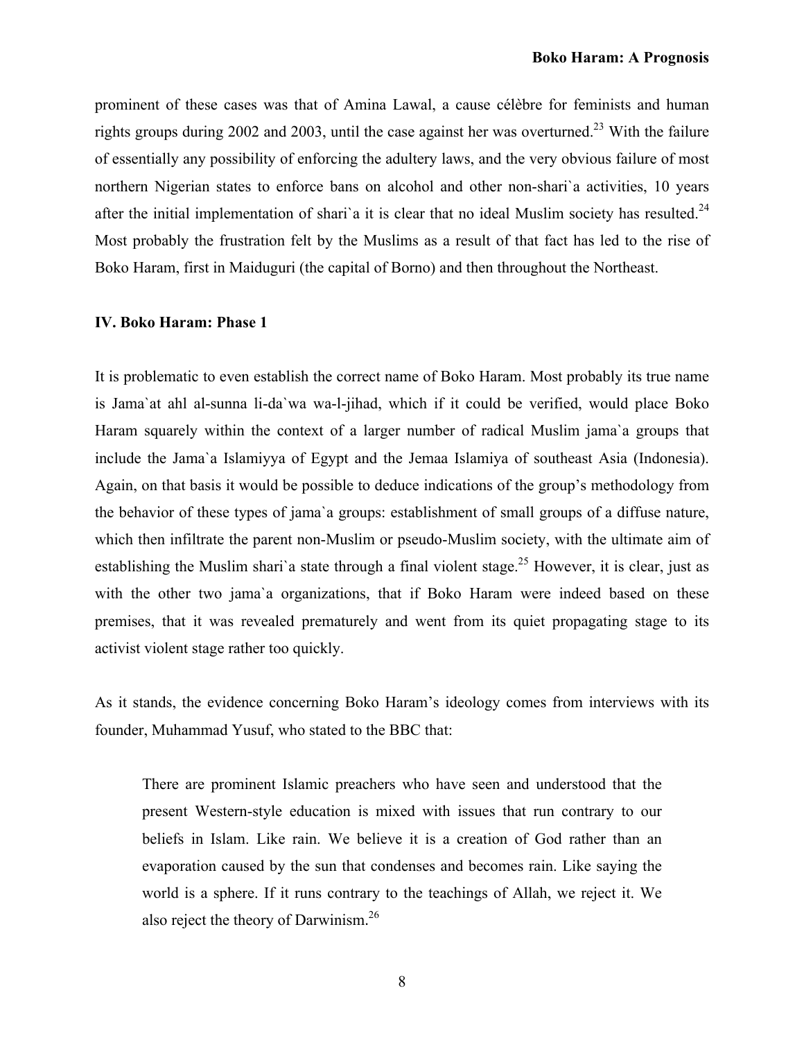prominent of these cases was that of Amina Lawal, a cause célèbre for feminists and human rights groups during 2002 and 2003, until the case against her was overturned.<sup>23</sup> With the failure of essentially any possibility of enforcing the adultery laws, and the very obvious failure of most northern Nigerian states to enforce bans on alcohol and other non-shari`a activities, 10 years after the initial implementation of shari'a it is clear that no ideal Muslim society has resulted.<sup>24</sup> Most probably the frustration felt by the Muslims as a result of that fact has led to the rise of Boko Haram, first in Maiduguri (the capital of Borno) and then throughout the Northeast.

# **IV. Boko Haram: Phase 1**

It is problematic to even establish the correct name of Boko Haram. Most probably its true name is Jama`at ahl al-sunna li-da`wa wa-l-jihad, which if it could be verified, would place Boko Haram squarely within the context of a larger number of radical Muslim jama`a groups that include the Jama`a Islamiyya of Egypt and the Jemaa Islamiya of southeast Asia (Indonesia). Again, on that basis it would be possible to deduce indications of the group's methodology from the behavior of these types of jama`a groups: establishment of small groups of a diffuse nature, which then infiltrate the parent non-Muslim or pseudo-Muslim society, with the ultimate aim of establishing the Muslim shari'a state through a final violent stage.<sup>25</sup> However, it is clear, just as with the other two jama'a organizations, that if Boko Haram were indeed based on these premises, that it was revealed prematurely and went from its quiet propagating stage to its activist violent stage rather too quickly.

As it stands, the evidence concerning Boko Haram's ideology comes from interviews with its founder, Muhammad Yusuf, who stated to the BBC that:

There are prominent Islamic preachers who have seen and understood that the present Western-style education is mixed with issues that run contrary to our beliefs in Islam. Like rain. We believe it is a creation of God rather than an evaporation caused by the sun that condenses and becomes rain. Like saying the world is a sphere. If it runs contrary to the teachings of Allah, we reject it. We also reject the theory of Darwinism.<sup>26</sup>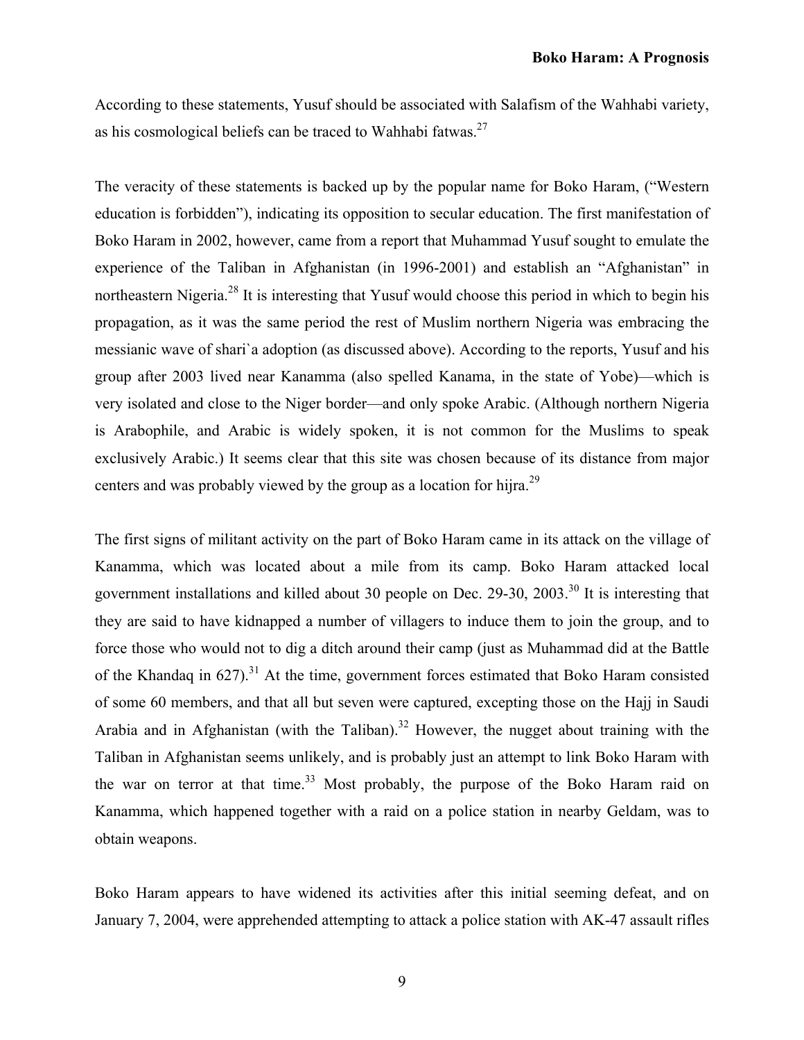According to these statements, Yusuf should be associated with Salafism of the Wahhabi variety, as his cosmological beliefs can be traced to Wahhabi fatwas.<sup>27</sup>

The veracity of these statements is backed up by the popular name for Boko Haram, ("Western education is forbidden"), indicating its opposition to secular education. The first manifestation of Boko Haram in 2002, however, came from a report that Muhammad Yusuf sought to emulate the experience of the Taliban in Afghanistan (in 1996-2001) and establish an "Afghanistan" in northeastern Nigeria.<sup>28</sup> It is interesting that Yusuf would choose this period in which to begin his propagation, as it was the same period the rest of Muslim northern Nigeria was embracing the messianic wave of shari`a adoption (as discussed above). According to the reports, Yusuf and his group after 2003 lived near Kanamma (also spelled Kanama, in the state of Yobe)—which is very isolated and close to the Niger border—and only spoke Arabic. (Although northern Nigeria is Arabophile, and Arabic is widely spoken, it is not common for the Muslims to speak exclusively Arabic.) It seems clear that this site was chosen because of its distance from major centers and was probably viewed by the group as a location for hijra.<sup>29</sup>

The first signs of militant activity on the part of Boko Haram came in its attack on the village of Kanamma, which was located about a mile from its camp. Boko Haram attacked local government installations and killed about 30 people on Dec. 29-30, 2003.<sup>30</sup> It is interesting that they are said to have kidnapped a number of villagers to induce them to join the group, and to force those who would not to dig a ditch around their camp (just as Muhammad did at the Battle of the Khandaq in  $627$ ).<sup>31</sup> At the time, government forces estimated that Boko Haram consisted of some 60 members, and that all but seven were captured, excepting those on the Hajj in Saudi Arabia and in Afghanistan (with the Taliban).<sup>32</sup> However, the nugget about training with the Taliban in Afghanistan seems unlikely, and is probably just an attempt to link Boko Haram with the war on terror at that time.<sup>33</sup> Most probably, the purpose of the Boko Haram raid on Kanamma, which happened together with a raid on a police station in nearby Geldam, was to obtain weapons.

Boko Haram appears to have widened its activities after this initial seeming defeat, and on January 7, 2004, were apprehended attempting to attack a police station with AK-47 assault rifles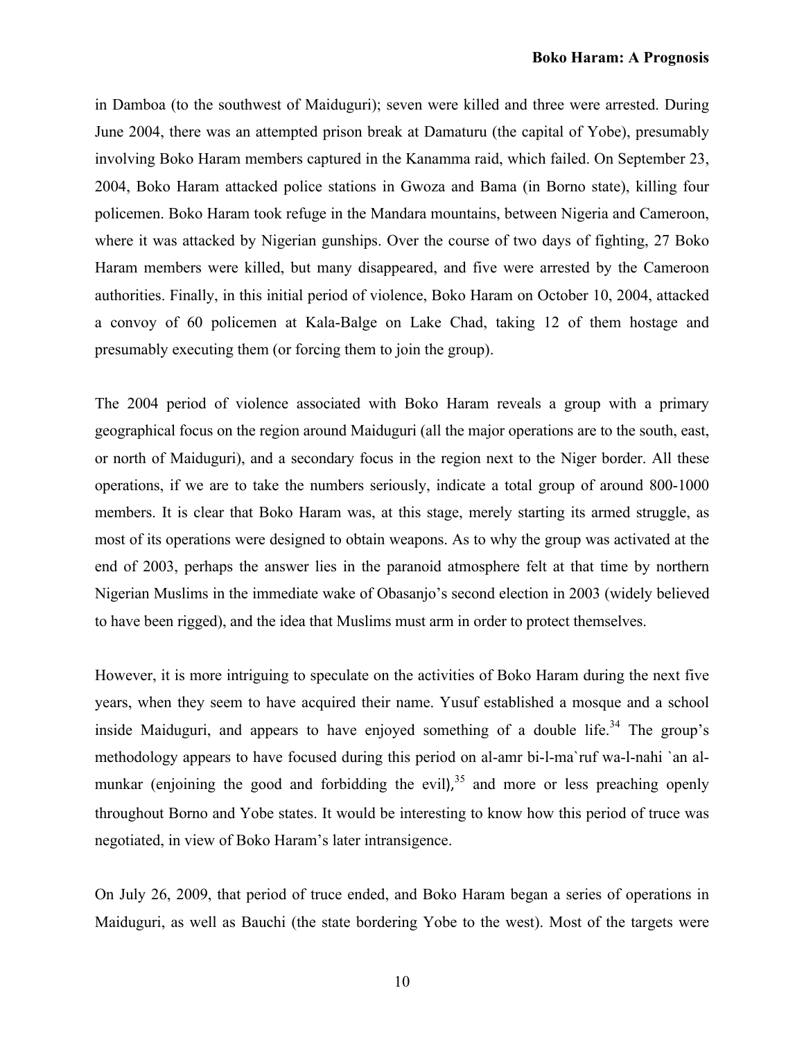in Damboa (to the southwest of Maiduguri); seven were killed and three were arrested. During June 2004, there was an attempted prison break at Damaturu (the capital of Yobe), presumably involving Boko Haram members captured in the Kanamma raid, which failed. On September 23, 2004, Boko Haram attacked police stations in Gwoza and Bama (in Borno state), killing four policemen. Boko Haram took refuge in the Mandara mountains, between Nigeria and Cameroon, where it was attacked by Nigerian gunships. Over the course of two days of fighting, 27 Boko Haram members were killed, but many disappeared, and five were arrested by the Cameroon authorities. Finally, in this initial period of violence, Boko Haram on October 10, 2004, attacked a convoy of 60 policemen at Kala-Balge on Lake Chad, taking 12 of them hostage and presumably executing them (or forcing them to join the group).

The 2004 period of violence associated with Boko Haram reveals a group with a primary geographical focus on the region around Maiduguri (all the major operations are to the south, east, or north of Maiduguri), and a secondary focus in the region next to the Niger border. All these operations, if we are to take the numbers seriously, indicate a total group of around 800-1000 members. It is clear that Boko Haram was, at this stage, merely starting its armed struggle, as most of its operations were designed to obtain weapons. As to why the group was activated at the end of 2003, perhaps the answer lies in the paranoid atmosphere felt at that time by northern Nigerian Muslims in the immediate wake of Obasanjo's second election in 2003 (widely believed to have been rigged), and the idea that Muslims must arm in order to protect themselves.

However, it is more intriguing to speculate on the activities of Boko Haram during the next five years, when they seem to have acquired their name. Yusuf established a mosque and a school inside Maiduguri, and appears to have enjoyed something of a double life.<sup>34</sup> The group's methodology appears to have focused during this period on al-amr bi-l-ma`ruf wa-l-nahi `an almunkar (enjoining the good and forbidding the evil),  $35$  and more or less preaching openly throughout Borno and Yobe states. It would be interesting to know how this period of truce was negotiated, in view of Boko Haram's later intransigence.

On July 26, 2009, that period of truce ended, and Boko Haram began a series of operations in Maiduguri, as well as Bauchi (the state bordering Yobe to the west). Most of the targets were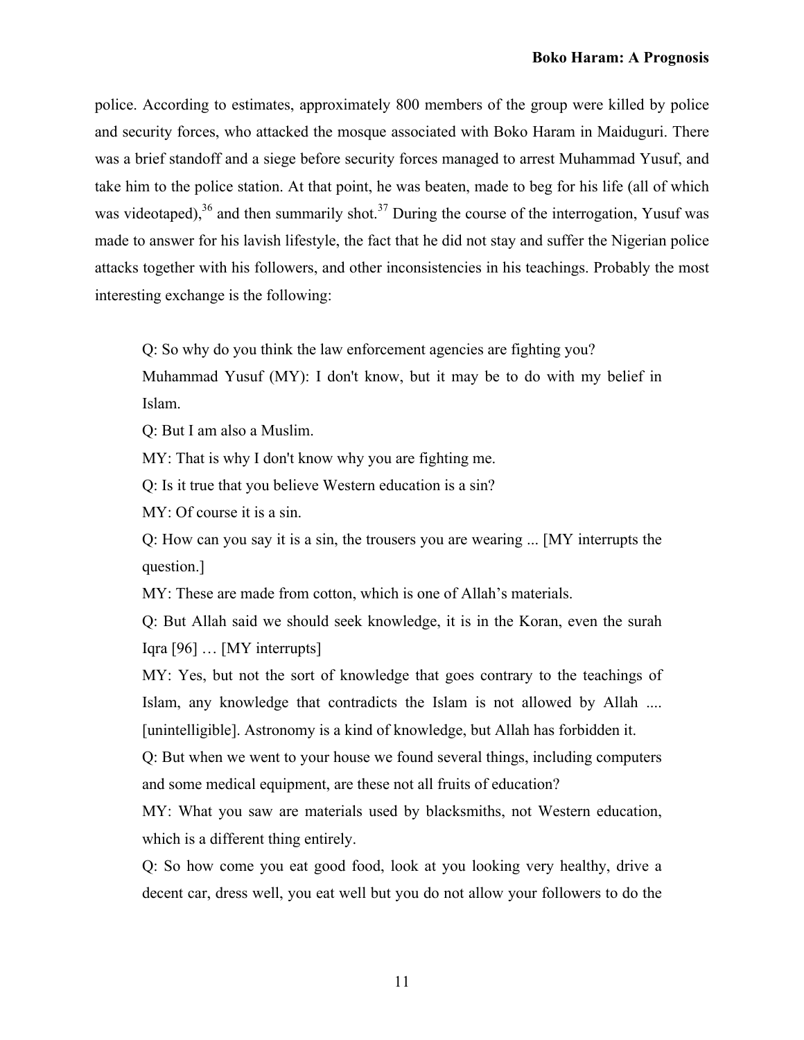police. According to estimates, approximately 800 members of the group were killed by police and security forces, who attacked the mosque associated with Boko Haram in Maiduguri. There was a brief standoff and a siege before security forces managed to arrest Muhammad Yusuf, and take him to the police station. At that point, he was beaten, made to beg for his life (all of which was videotaped), $36$  and then summarily shot. $37$  During the course of the interrogation, Yusuf was made to answer for his lavish lifestyle, the fact that he did not stay and suffer the Nigerian police attacks together with his followers, and other inconsistencies in his teachings. Probably the most interesting exchange is the following:

Q: So why do you think the law enforcement agencies are fighting you?

Muhammad Yusuf (MY): I don't know, but it may be to do with my belief in Islam.

Q: But I am also a Muslim.

MY: That is why I don't know why you are fighting me.

Q: Is it true that you believe Western education is a sin?

MY: Of course it is a sin.

Q: How can you say it is a sin, the trousers you are wearing ... [MY interrupts the question.]

MY: These are made from cotton, which is one of Allah's materials.

Q: But Allah said we should seek knowledge, it is in the Koran, even the surah Iqra [96] … [MY interrupts]

MY: Yes, but not the sort of knowledge that goes contrary to the teachings of Islam, any knowledge that contradicts the Islam is not allowed by Allah .... [unintelligible]. Astronomy is a kind of knowledge, but Allah has forbidden it.

Q: But when we went to your house we found several things, including computers and some medical equipment, are these not all fruits of education?

MY: What you saw are materials used by blacksmiths, not Western education, which is a different thing entirely.

Q: So how come you eat good food, look at you looking very healthy, drive a decent car, dress well, you eat well but you do not allow your followers to do the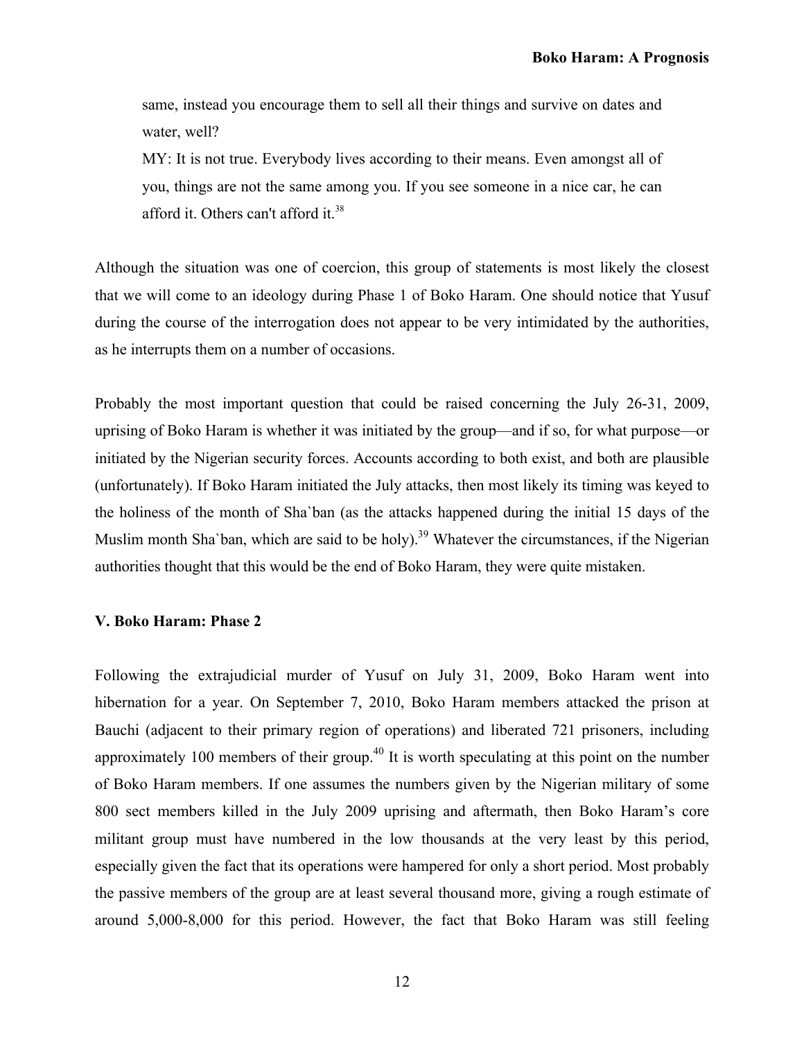same, instead you encourage them to sell all their things and survive on dates and water, well?

MY: It is not true. Everybody lives according to their means. Even amongst all of you, things are not the same among you. If you see someone in a nice car, he can afford it. Others can't afford it.38

Although the situation was one of coercion, this group of statements is most likely the closest that we will come to an ideology during Phase 1 of Boko Haram. One should notice that Yusuf during the course of the interrogation does not appear to be very intimidated by the authorities, as he interrupts them on a number of occasions.

Probably the most important question that could be raised concerning the July 26-31, 2009, uprising of Boko Haram is whether it was initiated by the group—and if so, for what purpose—or initiated by the Nigerian security forces. Accounts according to both exist, and both are plausible (unfortunately). If Boko Haram initiated the July attacks, then most likely its timing was keyed to the holiness of the month of Sha`ban (as the attacks happened during the initial 15 days of the Muslim month Sha'ban, which are said to be holy).<sup>39</sup> Whatever the circumstances, if the Nigerian authorities thought that this would be the end of Boko Haram, they were quite mistaken.

# **V. Boko Haram: Phase 2**

Following the extrajudicial murder of Yusuf on July 31, 2009, Boko Haram went into hibernation for a year. On September 7, 2010, Boko Haram members attacked the prison at Bauchi (adjacent to their primary region of operations) and liberated 721 prisoners, including approximately 100 members of their group.<sup> $40$ </sup> It is worth speculating at this point on the number of Boko Haram members. If one assumes the numbers given by the Nigerian military of some 800 sect members killed in the July 2009 uprising and aftermath, then Boko Haram's core militant group must have numbered in the low thousands at the very least by this period, especially given the fact that its operations were hampered for only a short period. Most probably the passive members of the group are at least several thousand more, giving a rough estimate of around 5,000-8,000 for this period. However, the fact that Boko Haram was still feeling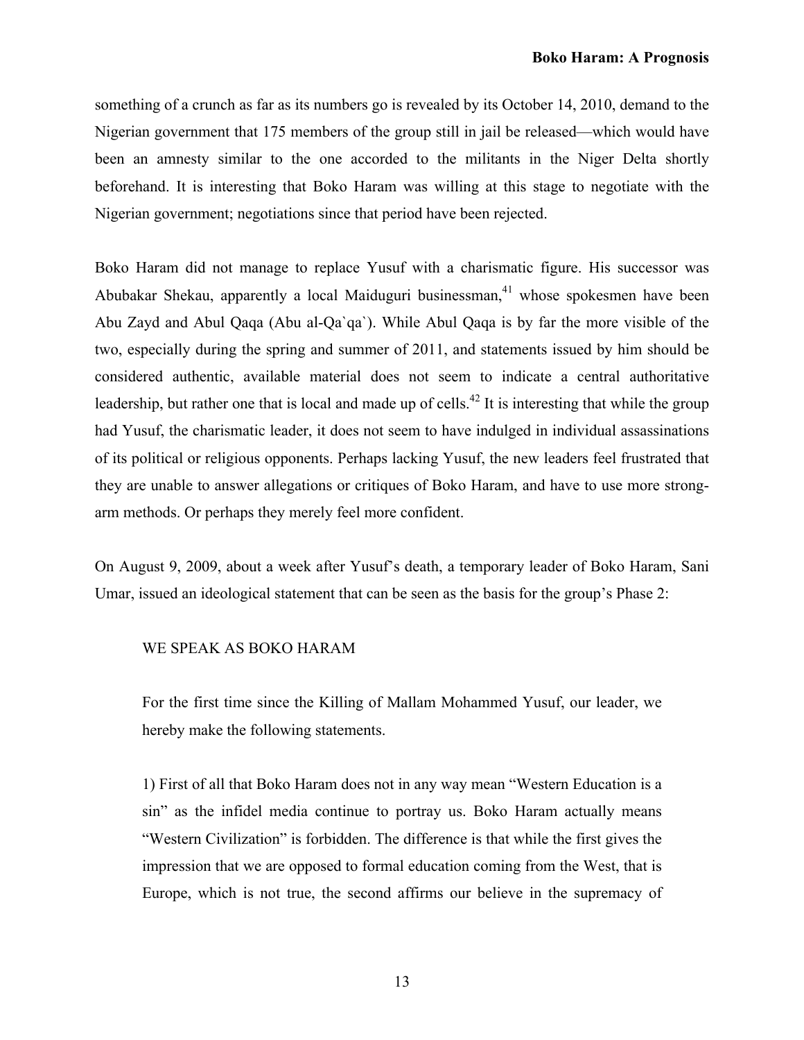something of a crunch as far as its numbers go is revealed by its October 14, 2010, demand to the Nigerian government that 175 members of the group still in jail be released—which would have been an amnesty similar to the one accorded to the militants in the Niger Delta shortly beforehand. It is interesting that Boko Haram was willing at this stage to negotiate with the Nigerian government; negotiations since that period have been rejected.

Boko Haram did not manage to replace Yusuf with a charismatic figure. His successor was Abubakar Shekau, apparently a local Maiduguri businessman, $41$  whose spokesmen have been Abu Zayd and Abul Qaqa (Abu al-Qa`qa`). While Abul Qaqa is by far the more visible of the two, especially during the spring and summer of 2011, and statements issued by him should be considered authentic, available material does not seem to indicate a central authoritative leadership, but rather one that is local and made up of cells.<sup>42</sup> It is interesting that while the group had Yusuf, the charismatic leader, it does not seem to have indulged in individual assassinations of its political or religious opponents. Perhaps lacking Yusuf, the new leaders feel frustrated that they are unable to answer allegations or critiques of Boko Haram, and have to use more strongarm methods. Or perhaps they merely feel more confident.

On August 9, 2009, about a week after Yusuf's death, a temporary leader of Boko Haram, Sani Umar, issued an ideological statement that can be seen as the basis for the group's Phase 2:

### WE SPEAK AS BOKO HARAM

For the first time since the Killing of Mallam Mohammed Yusuf, our leader, we hereby make the following statements.

1) First of all that Boko Haram does not in any way mean "Western Education is a sin" as the infidel media continue to portray us. Boko Haram actually means "Western Civilization" is forbidden. The difference is that while the first gives the impression that we are opposed to formal education coming from the West, that is Europe, which is not true, the second affirms our believe in the supremacy of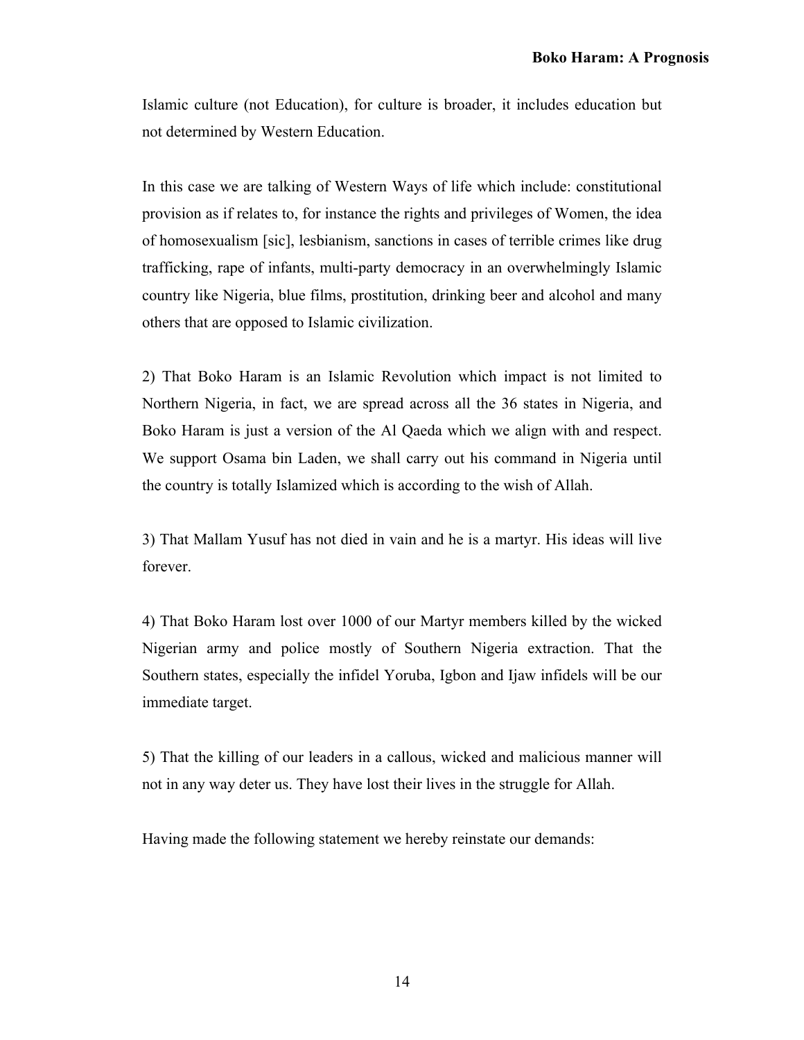Islamic culture (not Education), for culture is broader, it includes education but not determined by Western Education.

In this case we are talking of Western Ways of life which include: constitutional provision as if relates to, for instance the rights and privileges of Women, the idea of homosexualism [sic], lesbianism, sanctions in cases of terrible crimes like drug trafficking, rape of infants, multi-party democracy in an overwhelmingly Islamic country like Nigeria, blue films, prostitution, drinking beer and alcohol and many others that are opposed to Islamic civilization.

2) That Boko Haram is an Islamic Revolution which impact is not limited to Northern Nigeria, in fact, we are spread across all the 36 states in Nigeria, and Boko Haram is just a version of the Al Qaeda which we align with and respect. We support Osama bin Laden, we shall carry out his command in Nigeria until the country is totally Islamized which is according to the wish of Allah.

3) That Mallam Yusuf has not died in vain and he is a martyr. His ideas will live forever.

4) That Boko Haram lost over 1000 of our Martyr members killed by the wicked Nigerian army and police mostly of Southern Nigeria extraction. That the Southern states, especially the infidel Yoruba, Igbon and Ijaw infidels will be our immediate target.

5) That the killing of our leaders in a callous, wicked and malicious manner will not in any way deter us. They have lost their lives in the struggle for Allah.

Having made the following statement we hereby reinstate our demands: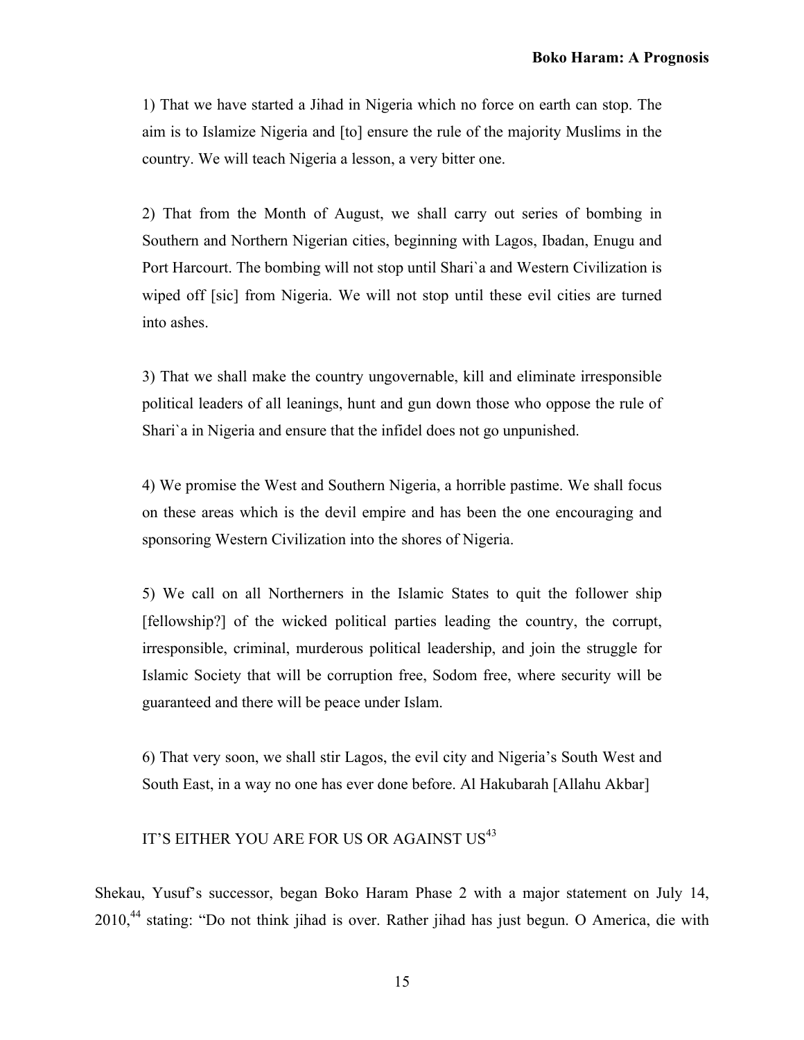1) That we have started a Jihad in Nigeria which no force on earth can stop. The aim is to Islamize Nigeria and [to] ensure the rule of the majority Muslims in the country. We will teach Nigeria a lesson, a very bitter one.

2) That from the Month of August, we shall carry out series of bombing in Southern and Northern Nigerian cities, beginning with Lagos, Ibadan, Enugu and Port Harcourt. The bombing will not stop until Shari`a and Western Civilization is wiped off [sic] from Nigeria. We will not stop until these evil cities are turned into ashes.

3) That we shall make the country ungovernable, kill and eliminate irresponsible political leaders of all leanings, hunt and gun down those who oppose the rule of Shari`a in Nigeria and ensure that the infidel does not go unpunished.

4) We promise the West and Southern Nigeria, a horrible pastime. We shall focus on these areas which is the devil empire and has been the one encouraging and sponsoring Western Civilization into the shores of Nigeria.

5) We call on all Northerners in the Islamic States to quit the follower ship [fellowship?] of the wicked political parties leading the country, the corrupt, irresponsible, criminal, murderous political leadership, and join the struggle for Islamic Society that will be corruption free, Sodom free, where security will be guaranteed and there will be peace under Islam.

6) That very soon, we shall stir Lagos, the evil city and Nigeria's South West and South East, in a way no one has ever done before. Al Hakubarah [Allahu Akbar]

# IT'S EITHER YOU ARE FOR US OR AGAINST US<sup>43</sup>

Shekau, Yusuf's successor, began Boko Haram Phase 2 with a major statement on July 14, 2010,<sup>44</sup> stating: "Do not think jihad is over. Rather jihad has just begun. O America, die with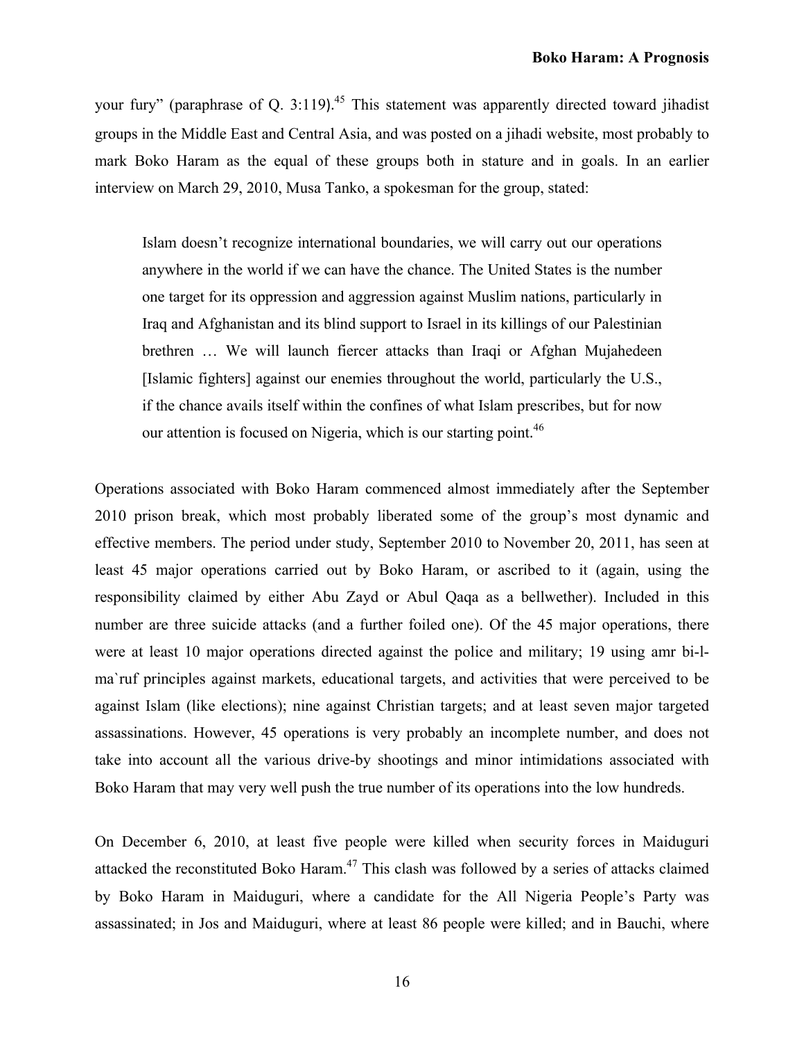your fury" (paraphrase of Q. 3:119).<sup>45</sup> This statement was apparently directed toward jihadist groups in the Middle East and Central Asia, and was posted on a jihadi website, most probably to mark Boko Haram as the equal of these groups both in stature and in goals. In an earlier interview on March 29, 2010, Musa Tanko, a spokesman for the group, stated:

Islam doesn't recognize international boundaries, we will carry out our operations anywhere in the world if we can have the chance. The United States is the number one target for its oppression and aggression against Muslim nations, particularly in Iraq and Afghanistan and its blind support to Israel in its killings of our Palestinian brethren … We will launch fiercer attacks than Iraqi or Afghan Mujahedeen [Islamic fighters] against our enemies throughout the world, particularly the U.S., if the chance avails itself within the confines of what Islam prescribes, but for now our attention is focused on Nigeria, which is our starting point.<sup>46</sup>

Operations associated with Boko Haram commenced almost immediately after the September 2010 prison break, which most probably liberated some of the group's most dynamic and effective members. The period under study, September 2010 to November 20, 2011, has seen at least 45 major operations carried out by Boko Haram, or ascribed to it (again, using the responsibility claimed by either Abu Zayd or Abul Qaqa as a bellwether). Included in this number are three suicide attacks (and a further foiled one). Of the 45 major operations, there were at least 10 major operations directed against the police and military; 19 using amr bi-lma`ruf principles against markets, educational targets, and activities that were perceived to be against Islam (like elections); nine against Christian targets; and at least seven major targeted assassinations. However, 45 operations is very probably an incomplete number, and does not take into account all the various drive-by shootings and minor intimidations associated with Boko Haram that may very well push the true number of its operations into the low hundreds.

On December 6, 2010, at least five people were killed when security forces in Maiduguri attacked the reconstituted Boko Haram.47 This clash was followed by a series of attacks claimed by Boko Haram in Maiduguri, where a candidate for the All Nigeria People's Party was assassinated; in Jos and Maiduguri, where at least 86 people were killed; and in Bauchi, where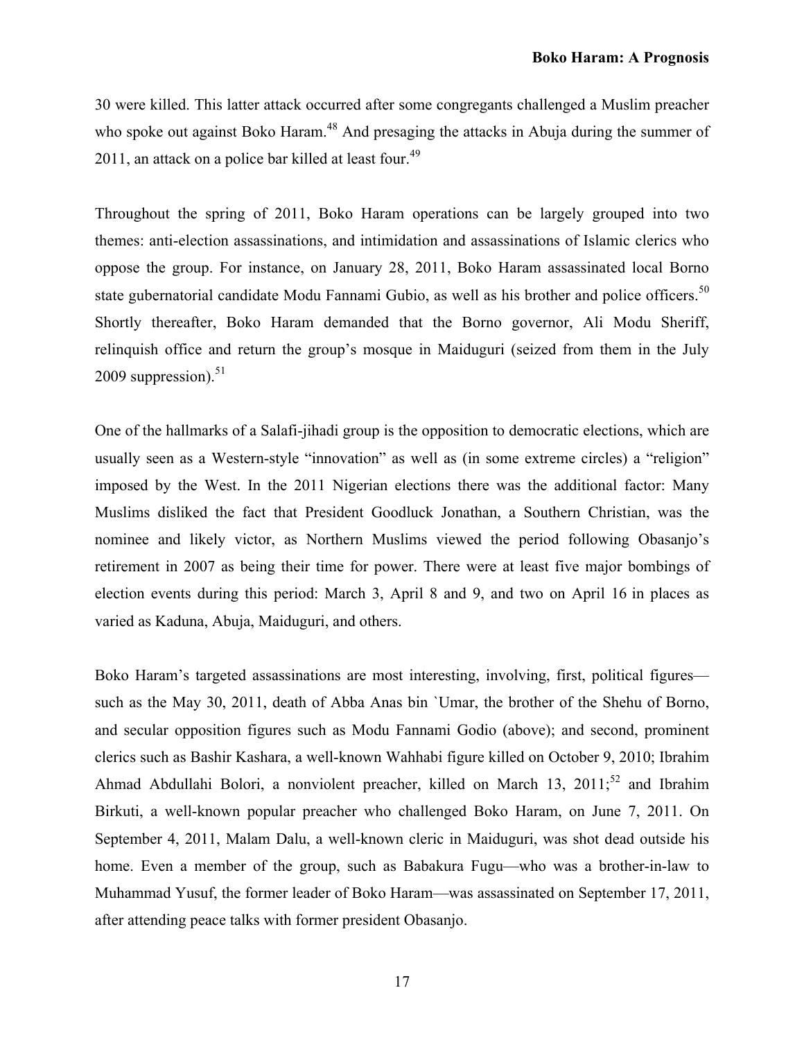30 were killed. This latter attack occurred after some congregants challenged a Muslim preacher who spoke out against Boko Haram.<sup>48</sup> And presaging the attacks in Abuja during the summer of 2011, an attack on a police bar killed at least four.<sup>49</sup>

Throughout the spring of 2011, Boko Haram operations can be largely grouped into two themes: anti-election assassinations, and intimidation and assassinations of Islamic clerics who oppose the group. For instance, on January 28, 2011, Boko Haram assassinated local Borno state gubernatorial candidate Modu Fannami Gubio, as well as his brother and police officers.<sup>50</sup> Shortly thereafter, Boko Haram demanded that the Borno governor, Ali Modu Sheriff, relinquish office and return the group's mosque in Maiduguri (seized from them in the July 2009 suppression). $51$ 

One of the hallmarks of a Salafi-jihadi group is the opposition to democratic elections, which are usually seen as a Western-style "innovation" as well as (in some extreme circles) a "religion" imposed by the West. In the 2011 Nigerian elections there was the additional factor: Many Muslims disliked the fact that President Goodluck Jonathan, a Southern Christian, was the nominee and likely victor, as Northern Muslims viewed the period following Obasanjo's retirement in 2007 as being their time for power. There were at least five major bombings of election events during this period: March 3, April 8 and 9, and two on April 16 in places as varied as Kaduna, Abuja, Maiduguri, and others.

Boko Haram's targeted assassinations are most interesting, involving, first, political figures such as the May 30, 2011, death of Abba Anas bin `Umar, the brother of the Shehu of Borno, and secular opposition figures such as Modu Fannami Godio (above); and second, prominent clerics such as Bashir Kashara, a well-known Wahhabi figure killed on October 9, 2010; Ibrahim Ahmad Abdullahi Bolori, a nonviolent preacher, killed on March 13,  $2011$ ;<sup>52</sup> and Ibrahim Birkuti, a well-known popular preacher who challenged Boko Haram, on June 7, 2011. On September 4, 2011, Malam Dalu, a well-known cleric in Maiduguri, was shot dead outside his home. Even a member of the group, such as Babakura Fugu—who was a brother-in-law to Muhammad Yusuf, the former leader of Boko Haram—was assassinated on September 17, 2011, after attending peace talks with former president Obasanjo.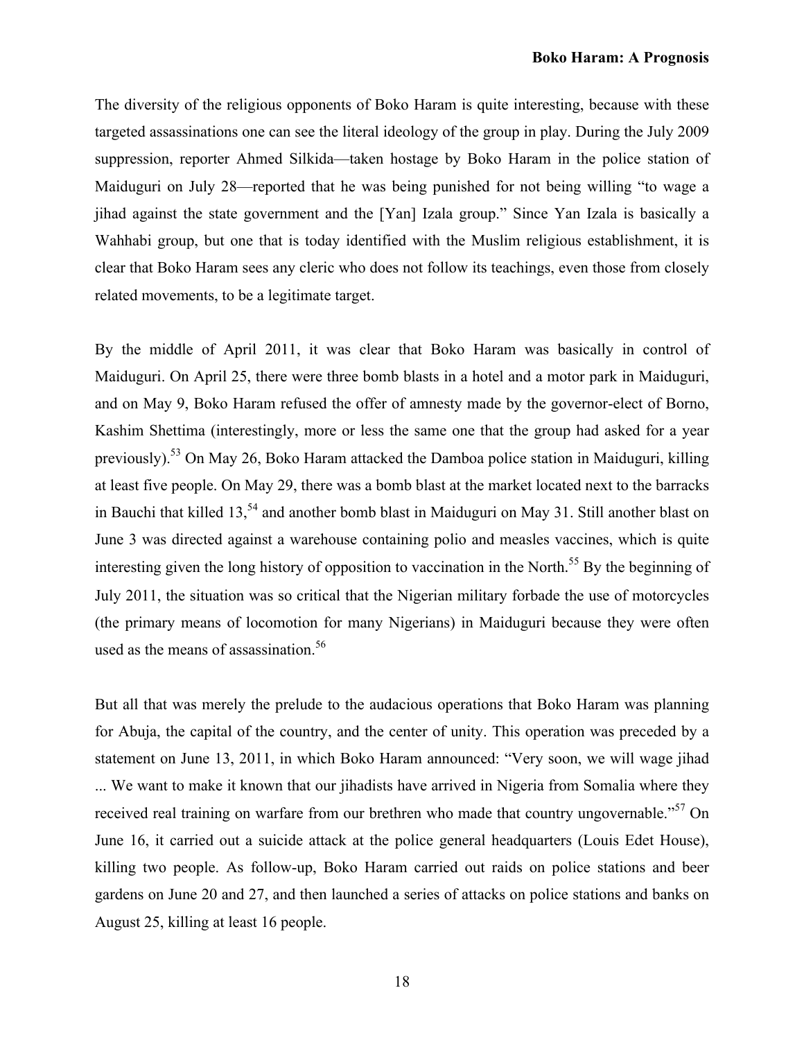The diversity of the religious opponents of Boko Haram is quite interesting, because with these targeted assassinations one can see the literal ideology of the group in play. During the July 2009 suppression, reporter Ahmed Silkida—taken hostage by Boko Haram in the police station of Maiduguri on July 28—reported that he was being punished for not being willing "to wage a jihad against the state government and the [Yan] Izala group." Since Yan Izala is basically a Wahhabi group, but one that is today identified with the Muslim religious establishment, it is clear that Boko Haram sees any cleric who does not follow its teachings, even those from closely related movements, to be a legitimate target.

By the middle of April 2011, it was clear that Boko Haram was basically in control of Maiduguri. On April 25, there were three bomb blasts in a hotel and a motor park in Maiduguri, and on May 9, Boko Haram refused the offer of amnesty made by the governor-elect of Borno, Kashim Shettima (interestingly, more or less the same one that the group had asked for a year previously).<sup>53</sup> On May 26, Boko Haram attacked the Damboa police station in Maiduguri, killing at least five people. On May 29, there was a bomb blast at the market located next to the barracks in Bauchi that killed 13,<sup>54</sup> and another bomb blast in Maiduguri on May 31. Still another blast on June 3 was directed against a warehouse containing polio and measles vaccines, which is quite interesting given the long history of opposition to vaccination in the North. <sup>55</sup> By the beginning of July 2011, the situation was so critical that the Nigerian military forbade the use of motorcycles (the primary means of locomotion for many Nigerians) in Maiduguri because they were often used as the means of assassination.<sup>56</sup>

But all that was merely the prelude to the audacious operations that Boko Haram was planning for Abuja, the capital of the country, and the center of unity. This operation was preceded by a statement on June 13, 2011, in which Boko Haram announced: "Very soon, we will wage jihad ... We want to make it known that our jihadists have arrived in Nigeria from Somalia where they received real training on warfare from our brethren who made that country ungovernable."<sup>57</sup> On June 16, it carried out a suicide attack at the police general headquarters (Louis Edet House), killing two people. As follow-up, Boko Haram carried out raids on police stations and beer gardens on June 20 and 27, and then launched a series of attacks on police stations and banks on August 25, killing at least 16 people.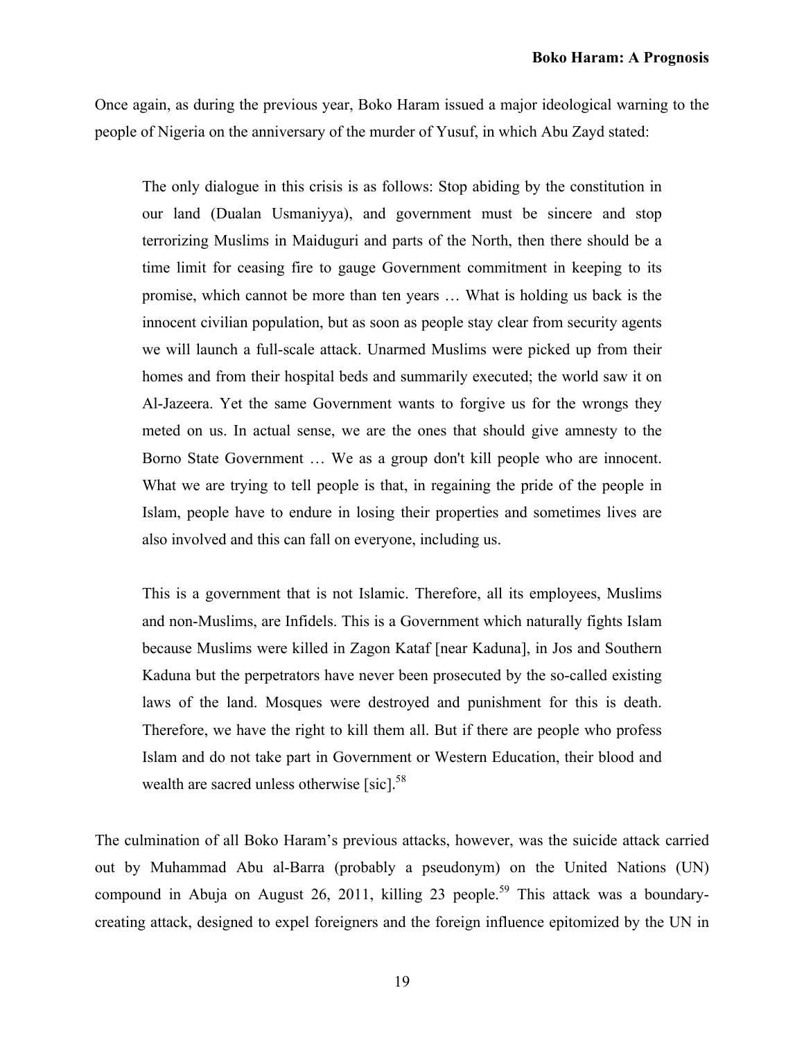Once again, as during the previous year, Boko Haram issued a major ideological warning to the people of Nigeria on the anniversary of the murder of Yusuf, in which Abu Zayd stated:

The only dialogue in this crisis is as follows: Stop abiding by the constitution in our land (Dualan Usmaniyya), and government must be sincere and stop terrorizing Muslims in Maiduguri and parts of the North, then there should be a time limit for ceasing fire to gauge Government commitment in keeping to its promise, which cannot be more than ten years … What is holding us back is the innocent civilian population, but as soon as people stay clear from security agents we will launch a full-scale attack. Unarmed Muslims were picked up from their homes and from their hospital beds and summarily executed; the world saw it on Al-Jazeera. Yet the same Government wants to forgive us for the wrongs they meted on us. In actual sense, we are the ones that should give amnesty to the Borno State Government … We as a group don't kill people who are innocent. What we are trying to tell people is that, in regaining the pride of the people in Islam, people have to endure in losing their properties and sometimes lives are also involved and this can fall on everyone, including us.

This is a government that is not Islamic. Therefore, all its employees, Muslims and non-Muslims, are Infidels. This is a Government which naturally fights Islam because Muslims were killed in Zagon Kataf [near Kaduna], in Jos and Southern Kaduna but the perpetrators have never been prosecuted by the so-called existing laws of the land. Mosques were destroyed and punishment for this is death. Therefore, we have the right to kill them all. But if there are people who profess Islam and do not take part in Government or Western Education, their blood and wealth are sacred unless otherwise [sic].<sup>58</sup>

The culmination of all Boko Haram's previous attacks, however, was the suicide attack carried out by Muhammad Abu al-Barra (probably a pseudonym) on the United Nations (UN) compound in Abuja on August 26, 2011, killing 23 people.<sup>59</sup> This attack was a boundarycreating attack, designed to expel foreigners and the foreign influence epitomized by the UN in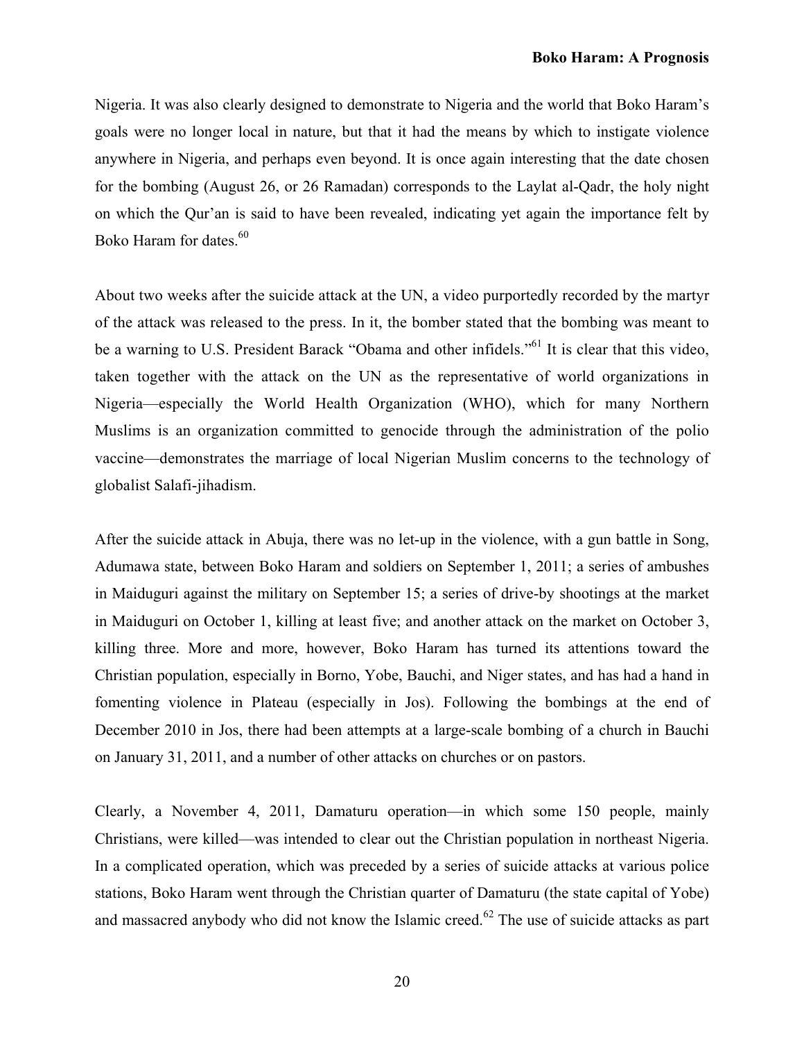Nigeria. It was also clearly designed to demonstrate to Nigeria and the world that Boko Haram's goals were no longer local in nature, but that it had the means by which to instigate violence anywhere in Nigeria, and perhaps even beyond. It is once again interesting that the date chosen for the bombing (August 26, or 26 Ramadan) corresponds to the Laylat al-Qadr, the holy night on which the Qur'an is said to have been revealed, indicating yet again the importance felt by Boko Haram for dates.<sup>60</sup>

About two weeks after the suicide attack at the UN, a video purportedly recorded by the martyr of the attack was released to the press. In it, the bomber stated that the bombing was meant to be a warning to U.S. President Barack "Obama and other infidels."<sup>61</sup> It is clear that this video, taken together with the attack on the UN as the representative of world organizations in Nigeria—especially the World Health Organization (WHO), which for many Northern Muslims is an organization committed to genocide through the administration of the polio vaccine—demonstrates the marriage of local Nigerian Muslim concerns to the technology of globalist Salafi-jihadism.

After the suicide attack in Abuja, there was no let-up in the violence, with a gun battle in Song, Adumawa state, between Boko Haram and soldiers on September 1, 2011; a series of ambushes in Maiduguri against the military on September 15; a series of drive-by shootings at the market in Maiduguri on October 1, killing at least five; and another attack on the market on October 3, killing three. More and more, however, Boko Haram has turned its attentions toward the Christian population, especially in Borno, Yobe, Bauchi, and Niger states, and has had a hand in fomenting violence in Plateau (especially in Jos). Following the bombings at the end of December 2010 in Jos, there had been attempts at a large-scale bombing of a church in Bauchi on January 31, 2011, and a number of other attacks on churches or on pastors.

Clearly, a November 4, 2011, Damaturu operation—in which some 150 people, mainly Christians, were killed—was intended to clear out the Christian population in northeast Nigeria. In a complicated operation, which was preceded by a series of suicide attacks at various police stations, Boko Haram went through the Christian quarter of Damaturu (the state capital of Yobe) and massacred anybody who did not know the Islamic creed.<sup>62</sup> The use of suicide attacks as part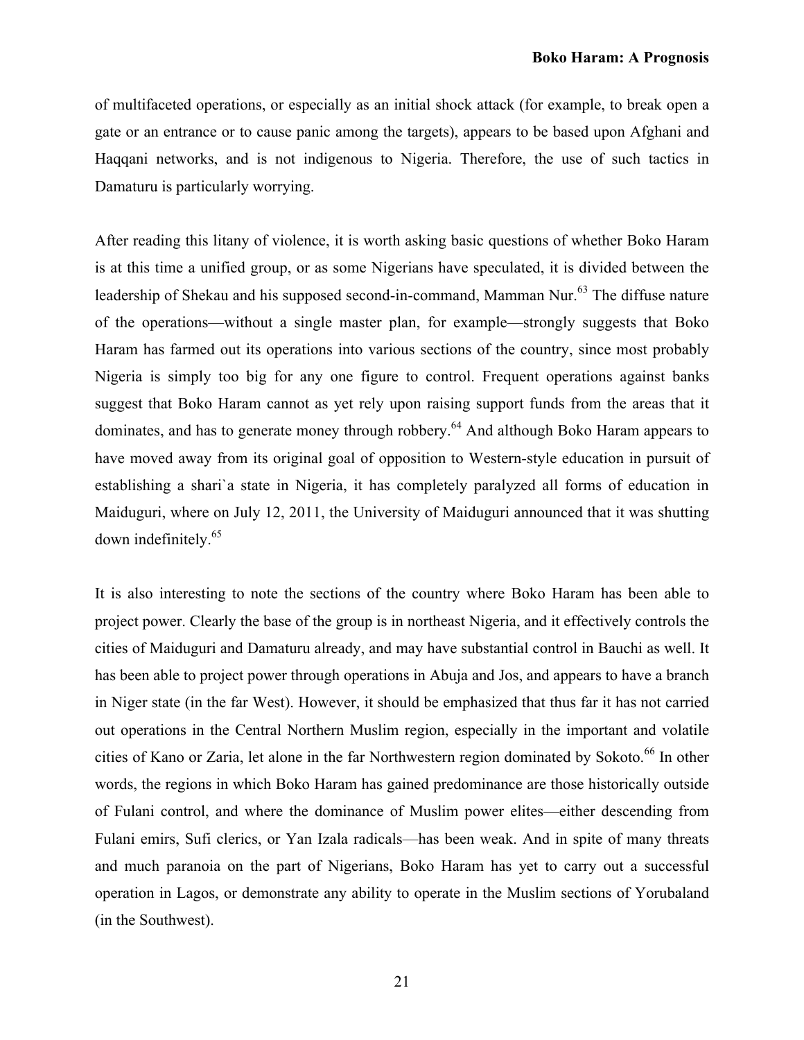of multifaceted operations, or especially as an initial shock attack (for example, to break open a gate or an entrance or to cause panic among the targets), appears to be based upon Afghani and Haqqani networks, and is not indigenous to Nigeria. Therefore, the use of such tactics in Damaturu is particularly worrying.

After reading this litany of violence, it is worth asking basic questions of whether Boko Haram is at this time a unified group, or as some Nigerians have speculated, it is divided between the leadership of Shekau and his supposed second-in-command, Mamman Nur.<sup>63</sup> The diffuse nature of the operations—without a single master plan, for example—strongly suggests that Boko Haram has farmed out its operations into various sections of the country, since most probably Nigeria is simply too big for any one figure to control. Frequent operations against banks suggest that Boko Haram cannot as yet rely upon raising support funds from the areas that it dominates, and has to generate money through robbery.<sup>64</sup> And although Boko Haram appears to have moved away from its original goal of opposition to Western-style education in pursuit of establishing a shari`a state in Nigeria, it has completely paralyzed all forms of education in Maiduguri, where on July 12, 2011, the University of Maiduguri announced that it was shutting down indefinitely.<sup>65</sup>

It is also interesting to note the sections of the country where Boko Haram has been able to project power. Clearly the base of the group is in northeast Nigeria, and it effectively controls the cities of Maiduguri and Damaturu already, and may have substantial control in Bauchi as well. It has been able to project power through operations in Abuja and Jos, and appears to have a branch in Niger state (in the far West). However, it should be emphasized that thus far it has not carried out operations in the Central Northern Muslim region, especially in the important and volatile cities of Kano or Zaria, let alone in the far Northwestern region dominated by Sokoto.<sup>66</sup> In other words, the regions in which Boko Haram has gained predominance are those historically outside of Fulani control, and where the dominance of Muslim power elites—either descending from Fulani emirs, Sufi clerics, or Yan Izala radicals—has been weak. And in spite of many threats and much paranoia on the part of Nigerians, Boko Haram has yet to carry out a successful operation in Lagos, or demonstrate any ability to operate in the Muslim sections of Yorubaland (in the Southwest).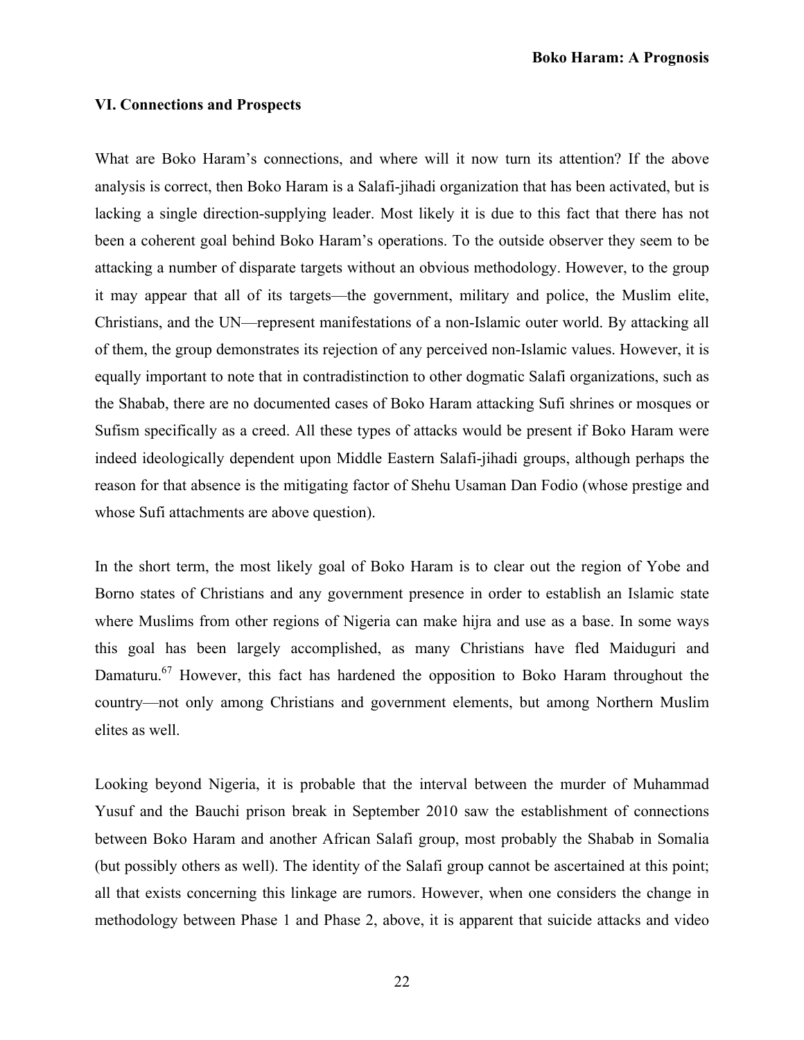### **VI. Connections and Prospects**

What are Boko Haram's connections, and where will it now turn its attention? If the above analysis is correct, then Boko Haram is a Salafi-jihadi organization that has been activated, but is lacking a single direction-supplying leader. Most likely it is due to this fact that there has not been a coherent goal behind Boko Haram's operations. To the outside observer they seem to be attacking a number of disparate targets without an obvious methodology. However, to the group it may appear that all of its targets—the government, military and police, the Muslim elite, Christians, and the UN—represent manifestations of a non-Islamic outer world. By attacking all of them, the group demonstrates its rejection of any perceived non-Islamic values. However, it is equally important to note that in contradistinction to other dogmatic Salafi organizations, such as the Shabab, there are no documented cases of Boko Haram attacking Sufi shrines or mosques or Sufism specifically as a creed. All these types of attacks would be present if Boko Haram were indeed ideologically dependent upon Middle Eastern Salafi-jihadi groups, although perhaps the reason for that absence is the mitigating factor of Shehu Usaman Dan Fodio (whose prestige and whose Sufi attachments are above question).

In the short term, the most likely goal of Boko Haram is to clear out the region of Yobe and Borno states of Christians and any government presence in order to establish an Islamic state where Muslims from other regions of Nigeria can make hijra and use as a base. In some ways this goal has been largely accomplished, as many Christians have fled Maiduguri and Damaturu.<sup>67</sup> However, this fact has hardened the opposition to Boko Haram throughout the country—not only among Christians and government elements, but among Northern Muslim elites as well.

Looking beyond Nigeria, it is probable that the interval between the murder of Muhammad Yusuf and the Bauchi prison break in September 2010 saw the establishment of connections between Boko Haram and another African Salafi group, most probably the Shabab in Somalia (but possibly others as well). The identity of the Salafi group cannot be ascertained at this point; all that exists concerning this linkage are rumors. However, when one considers the change in methodology between Phase 1 and Phase 2, above, it is apparent that suicide attacks and video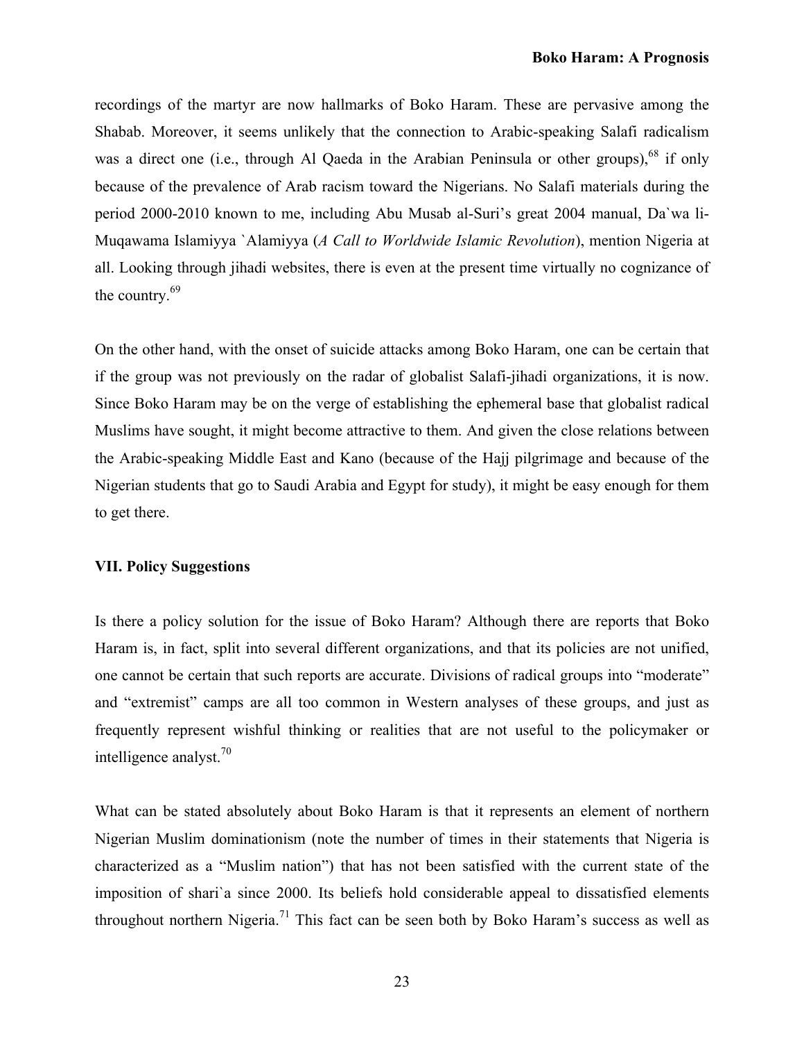recordings of the martyr are now hallmarks of Boko Haram. These are pervasive among the Shabab. Moreover, it seems unlikely that the connection to Arabic-speaking Salafi radicalism was a direct one (i.e., through Al Qaeda in the Arabian Peninsula or other groups),<sup>68</sup> if only because of the prevalence of Arab racism toward the Nigerians. No Salafi materials during the period 2000-2010 known to me, including Abu Musab al-Suri's great 2004 manual, Da`wa li-Muqawama Islamiyya `Alamiyya (*A Call to Worldwide Islamic Revolution*), mention Nigeria at all. Looking through jihadi websites, there is even at the present time virtually no cognizance of the country.<sup>69</sup>

On the other hand, with the onset of suicide attacks among Boko Haram, one can be certain that if the group was not previously on the radar of globalist Salafi-jihadi organizations, it is now. Since Boko Haram may be on the verge of establishing the ephemeral base that globalist radical Muslims have sought, it might become attractive to them. And given the close relations between the Arabic-speaking Middle East and Kano (because of the Hajj pilgrimage and because of the Nigerian students that go to Saudi Arabia and Egypt for study), it might be easy enough for them to get there.

# **VII. Policy Suggestions**

Is there a policy solution for the issue of Boko Haram? Although there are reports that Boko Haram is, in fact, split into several different organizations, and that its policies are not unified, one cannot be certain that such reports are accurate. Divisions of radical groups into "moderate" and "extremist" camps are all too common in Western analyses of these groups, and just as frequently represent wishful thinking or realities that are not useful to the policymaker or intelligence analyst.<sup>70</sup>

What can be stated absolutely about Boko Haram is that it represents an element of northern Nigerian Muslim dominationism (note the number of times in their statements that Nigeria is characterized as a "Muslim nation") that has not been satisfied with the current state of the imposition of shari`a since 2000. Its beliefs hold considerable appeal to dissatisfied elements throughout northern Nigeria.<sup>71</sup> This fact can be seen both by Boko Haram's success as well as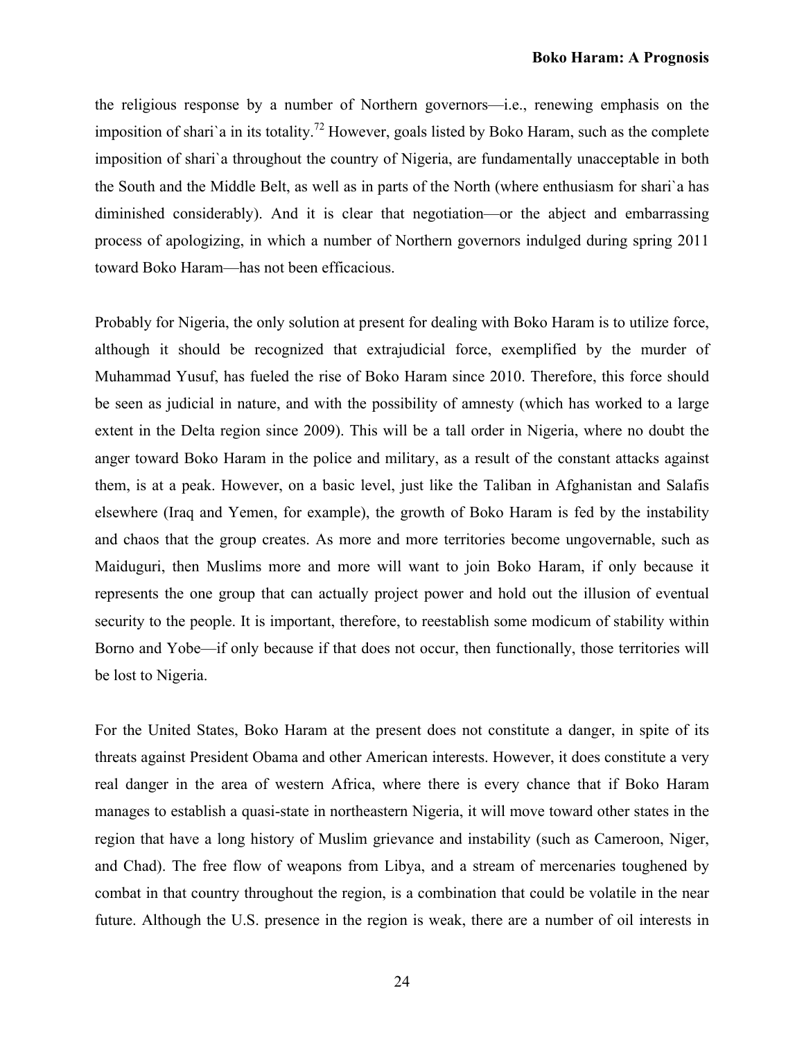the religious response by a number of Northern governors—i.e., renewing emphasis on the imposition of shari'a in its totality.<sup>72</sup> However, goals listed by Boko Haram, such as the complete imposition of shari`a throughout the country of Nigeria, are fundamentally unacceptable in both the South and the Middle Belt, as well as in parts of the North (where enthusiasm for shari`a has diminished considerably). And it is clear that negotiation—or the abject and embarrassing process of apologizing, in which a number of Northern governors indulged during spring 2011 toward Boko Haram—has not been efficacious.

Probably for Nigeria, the only solution at present for dealing with Boko Haram is to utilize force, although it should be recognized that extrajudicial force, exemplified by the murder of Muhammad Yusuf, has fueled the rise of Boko Haram since 2010. Therefore, this force should be seen as judicial in nature, and with the possibility of amnesty (which has worked to a large extent in the Delta region since 2009). This will be a tall order in Nigeria, where no doubt the anger toward Boko Haram in the police and military, as a result of the constant attacks against them, is at a peak. However, on a basic level, just like the Taliban in Afghanistan and Salafis elsewhere (Iraq and Yemen, for example), the growth of Boko Haram is fed by the instability and chaos that the group creates. As more and more territories become ungovernable, such as Maiduguri, then Muslims more and more will want to join Boko Haram, if only because it represents the one group that can actually project power and hold out the illusion of eventual security to the people. It is important, therefore, to reestablish some modicum of stability within Borno and Yobe—if only because if that does not occur, then functionally, those territories will be lost to Nigeria.

For the United States, Boko Haram at the present does not constitute a danger, in spite of its threats against President Obama and other American interests. However, it does constitute a very real danger in the area of western Africa, where there is every chance that if Boko Haram manages to establish a quasi-state in northeastern Nigeria, it will move toward other states in the region that have a long history of Muslim grievance and instability (such as Cameroon, Niger, and Chad). The free flow of weapons from Libya, and a stream of mercenaries toughened by combat in that country throughout the region, is a combination that could be volatile in the near future. Although the U.S. presence in the region is weak, there are a number of oil interests in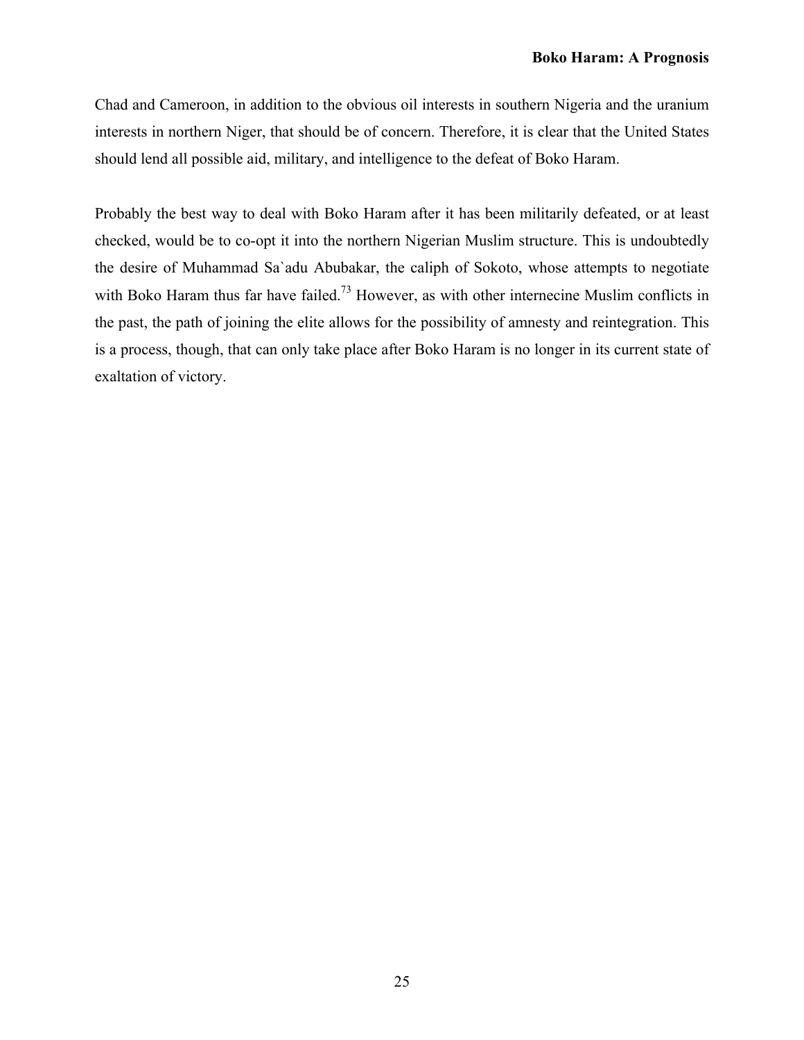Chad and Cameroon, in addition to the obvious oil interests in southern Nigeria and the uranium interests in northern Niger, that should be of concern. Therefore, it is clear that the United States should lend all possible aid, military, and intelligence to the defeat of Boko Haram.

Probably the best way to deal with Boko Haram after it has been militarily defeated, or at least checked, would be to co-opt it into the northern Nigerian Muslim structure. This is undoubtedly the desire of Muhammad Sa`adu Abubakar, the caliph of Sokoto, whose attempts to negotiate with Boko Haram thus far have failed.<sup>73</sup> However, as with other internecine Muslim conflicts in the past, the path of joining the elite allows for the possibility of amnesty and reintegration. This is a process, though, that can only take place after Boko Haram is no longer in its current state of exaltation of victory.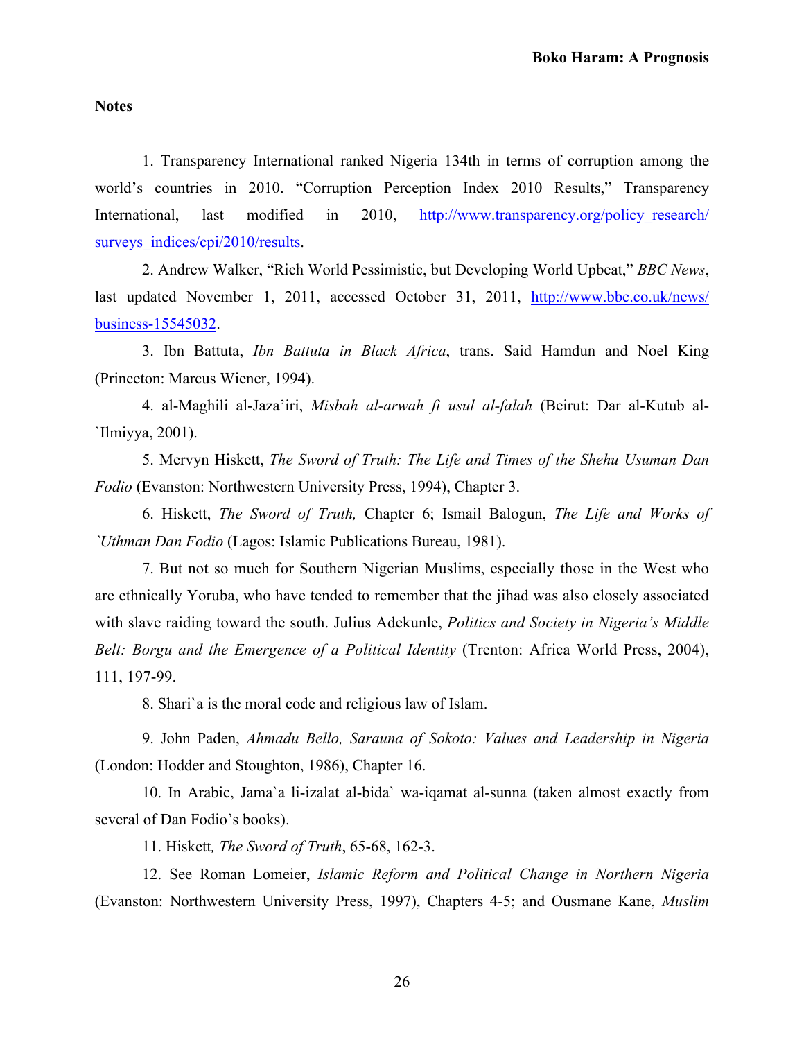### **Notes**

1. Transparency International ranked Nigeria 134th in terms of corruption among the world's countries in 2010. "Corruption Perception Index 2010 Results," Transparency [International, last modified in 2010, http://www.transparency.org/policy\\_research/](www.transparency.org/policy_research/surveys_indices/cpi/2010/results) surveys indices/cpi/2010/results.

2. Andrew Walker, "Rich World Pessimistic, but Developing World Upbeat," *BBC News*, [last updated November 1, 2011, accessed October 31, 2011, http://www.bbc.co.uk/news/](www.bbc.co.uk/news/business-15545032) business-15545032.

3. Ibn Battuta, *Ibn Battuta in Black Africa*, trans. Said Hamdun and Noel King (Princeton: Marcus Wiener, 1994).

4. al-Maghili al-Jaza'iri, *Misbah al-arwah fi usul al-falah* (Beirut: Dar al-Kutub al- `Ilmiyya, 2001).

5. Mervyn Hiskett, *The Sword of Truth: The Life and Times of the Shehu Usuman Dan Fodio* (Evanston: Northwestern University Press, 1994), Chapter 3.

6. Hiskett, *The Sword of Truth,* Chapter 6; Ismail Balogun, *The Life and Works of `Uthman Dan Fodio* (Lagos: Islamic Publications Bureau, 1981).

7. But not so much for Southern Nigerian Muslims, especially those in the West who are ethnically Yoruba, who have tended to remember that the jihad was also closely associated with slave raiding toward the south. Julius Adekunle, *Politics and Society in Nigeria's Middle Belt: Borgu and the Emergence of a Political Identity* (Trenton: Africa World Press, 2004), 111, 197-99.

8. Shari`a is the moral code and religious law of Islam.

9. John Paden, *Ahmadu Bello, Sarauna of Sokoto: Values and Leadership in Nigeria* (London: Hodder and Stoughton, 1986), Chapter 16.

10. In Arabic, Jama`a li-izalat al-bida` wa-iqamat al-sunna (taken almost exactly from several of Dan Fodio's books).

11. Hiskett*, The Sword of Truth*, 65-68, 162-3.

12. See Roman Lomeier, *Islamic Reform and Political Change in Northern Nigeria*  (Evanston: Northwestern University Press, 1997), Chapters 4-5; and Ousmane Kane, *Muslim*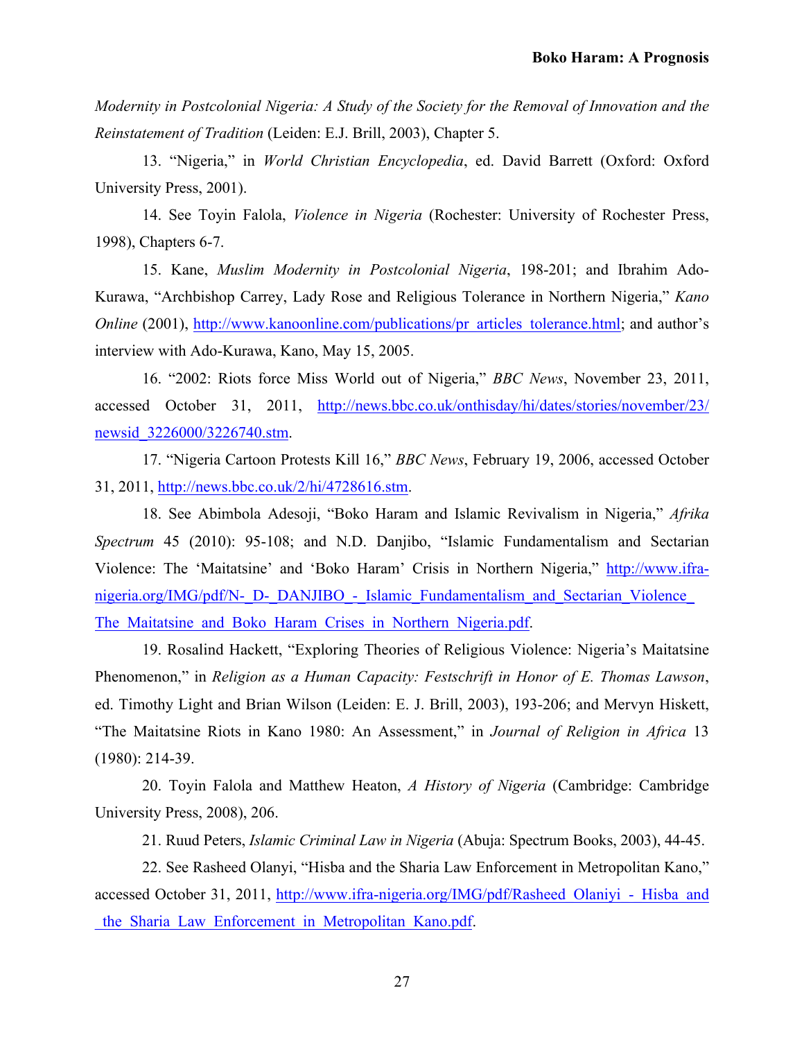*Modernity in Postcolonial Nigeria: A Study of the Society for the Removal of Innovation and the Reinstatement of Tradition* (Leiden: E.J. Brill, 2003), Chapter 5.

13. "Nigeria," in *World Christian Encyclopedia*, ed. David Barrett (Oxford: Oxford University Press, 2001).

14. See Toyin Falola, *Violence in Nigeria* (Rochester: University of Rochester Press, 1998), Chapters 6-7.

15. Kane, *Muslim Modernity in Postcolonial Nigeria*, 198-201; and Ibrahim Ado-Kurawa, "Archbishop Carrey, Lady Rose and Religious Tolerance in Northern Nigeria," *Kano Online* (2001), [http://www.kanoonline.com/publications/pr\\_articles\\_tolerance.html;](http://www.kanoonline.com/publications/pr_articles_tolerance.html) and author's interview with Ado-Kurawa, Kano, May 15, 2005.

16. "2002: Riots force Miss World out of Nigeria," *BBC News*, November 23, 2011, [accessed October 31, 2011, http://news.bbc.co.uk/onthisday/hi/dates/stories/november/23/](news.bbc.co.uk/onthisday/hi/dates/stories/november/23/newsid_3226000/3226740.stm) newsid\_3226000/3226740.stm.

17. "Nigeria Cartoon Protests Kill 16," *BBC News*, February 19, 2006, accessed October 31, 2011[, http://news.bbc.co.uk/2/hi/4728616.stm.](http://news.bbc.co.uk/2/hi/4728616.stm)

18. See Abimbola Adesoji, "Boko Haram and Islamic Revivalism in Nigeria," *Afrika Spectrum* 45 (2010): 95-108; and N.D. Danjibo, "Islamic Fundamentalism and Sectarian [Violence: The 'Maitatsine' and 'Boko Haram' Crisis in Northern Nigeria," http://www.ifra](www.ifra-nigeria.org/IMG/pdf/N-_D-_DANJIBO_-_Islamic_Fundamentalism_and_Sectarian_Violence_The_Maitatsine_and_Boko_Haram_Crises_in_Northern_Nigeria.pdf)nigeria.org/IMG/pdf/N-\_D-\_DANJIBO\_-\_Islamic\_Fundamentalism\_and\_Sectarian\_Violence The Maitatsine and Boko Haram Crises in Northern Nigeria.pdf.

19. Rosalind Hackett, "Exploring Theories of Religious Violence: Nigeria's Maitatsine Phenomenon," in *Religion as a Human Capacity: Festschrift in Honor of E. Thomas Lawson*, ed. Timothy Light and Brian Wilson (Leiden: E. J. Brill, 2003), 193-206; and Mervyn Hiskett, "The Maitatsine Riots in Kano 1980: An Assessment," in *Journal of Religion in Africa* 13 (1980): 214-39.

20. Toyin Falola and Matthew Heaton, *A History of Nigeria* (Cambridge: Cambridge University Press, 2008), 206.

21. Ruud Peters, *Islamic Criminal Law in Nigeria* (Abuja: Spectrum Books, 2003), 44-45.

22. See Rasheed Olanyi, "Hisba and the Sharia Law Enforcement in Metropolitan Kano," accessed October 31, 2011, http://www.ifra-nigeria.org/IMG/pdf/Rasheed Olaniyi - Hisba and \_the\_Sharia\_Law\_Enforcement\_in\_Metropolitan\_Kano.pdf.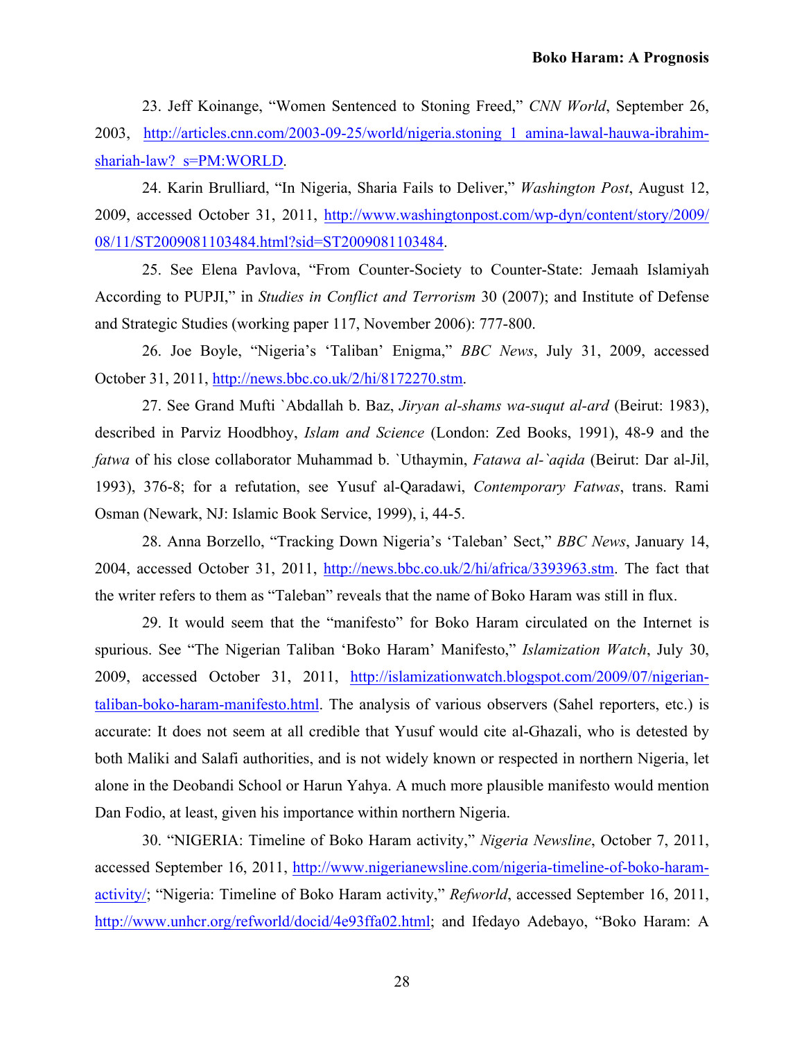23. Jeff Koinange, "Women Sentenced to Stoning Freed," *CNN World*, September 26, [2003, http://articles.cnn.com/2003-09-25/world/nigeria.stoning\\_1\\_amina-lawal-hauwa-ibrahim](http://articles.cnn.com/2003-09-25/world/nigeria.stoning_1_amina-lawal-hauwa-ibrahim-shariah-law?_s=PM:WORLD)shariah-law? s=PM:WORLD.

24. Karin Brulliard, "In Nigeria, Sharia Fails to Deliver," *Washington Post*, August 12, [2009, accessed October 31, 2011, http://www.washingtonpost.com/wp-dyn/content/story/2009/](http://www.washingtonpost.com/wp-dyn/content/story/2009/08/11/ST2009081103484.html?sid=ST2009081103484) 08/11/ST2009081103484.html?sid=ST2009081103484.

25. See Elena Pavlova, "From Counter-Society to Counter-State: Jemaah Islamiyah According to PUPJI," in *Studies in Conflict and Terrorism* 30 (2007); and Institute of Defense and Strategic Studies (working paper 117, November 2006): 777-800.

26. Joe Boyle, "Nigeria's 'Taliban' Enigma," *BBC News*, July 31, 2009, accessed October 31, 2011, [http://news.bbc.co.uk/2/hi/8172270.stm.](http://news.bbc.co.uk/2/hi/8172270.stm)

27. See Grand Mufti `Abdallah b. Baz, *Jiryan al-shams wa-suqut al-ard* (Beirut: 1983), described in Parviz Hoodbhoy, *Islam and Science* (London: Zed Books, 1991), 48-9 and the *fatwa* of his close collaborator Muhammad b. `Uthaymin, *Fatawa al-`aqida* (Beirut: Dar al-Jil, 1993), 376-8; for a refutation, see Yusuf al-Qaradawi, *Contemporary Fatwas*, trans. Rami Osman (Newark, NJ: Islamic Book Service, 1999), i, 44-5.

28. Anna Borzello, "Tracking Down Nigeria's 'Taleban' Sect," *BBC News*, January 14, 2004, accessed October 31, 2011, [http://news.bbc.co.uk/2/hi/africa/3393963.stm.](http://news.bbc.co.uk/2/hi/africa/3393963.stm) The fact that the writer refers to them as "Taleban" reveals that the name of Boko Haram was still in flux.

29. It would seem that the "manifesto" for Boko Haram circulated on the Internet is spurious. See "The Nigerian Taliban 'Boko Haram' Manifesto," *Islamization Watch*, July 30, [2009, accessed October 31, 2011, http://islamizationwatch.blogspot.com/2009/07/nigerian](http://islamizationwatch.blogspot.com/2009/07/nigerian-taliban-boko-haram-manifesto.html)taliban-boko-haram-manifesto.html. The analysis of various observers (Sahel reporters, etc.) is accurate: It does not seem at all credible that Yusuf would cite al-Ghazali, who is detested by both Maliki and Salafi authorities, and is not widely known or respected in northern Nigeria, let alone in the Deobandi School or Harun Yahya. A much more plausible manifesto would mention Dan Fodio, at least, given his importance within northern Nigeria.

30. "NIGERIA: Timeline of Boko Haram activity," *Nigeria Newsline*, October 7, 2011, [accessed September 16, 2011, http://www.nigerianewsline.com/nigeria-timeline-of-boko-haram](http://www.nigerianewsline.com/nigeria-timeline-of-boko-haram-activity/)activity/; "Nigeria: Timeline of Boko Haram activity," *Refworld*, accessed September 16, 2011, [http://www.unhcr.org/refworld/docid/4e93ffa02.html;](http://www.unhcr.org/refworld/docid/4e93ffa02.html) and Ifedayo Adebayo, "Boko Haram: A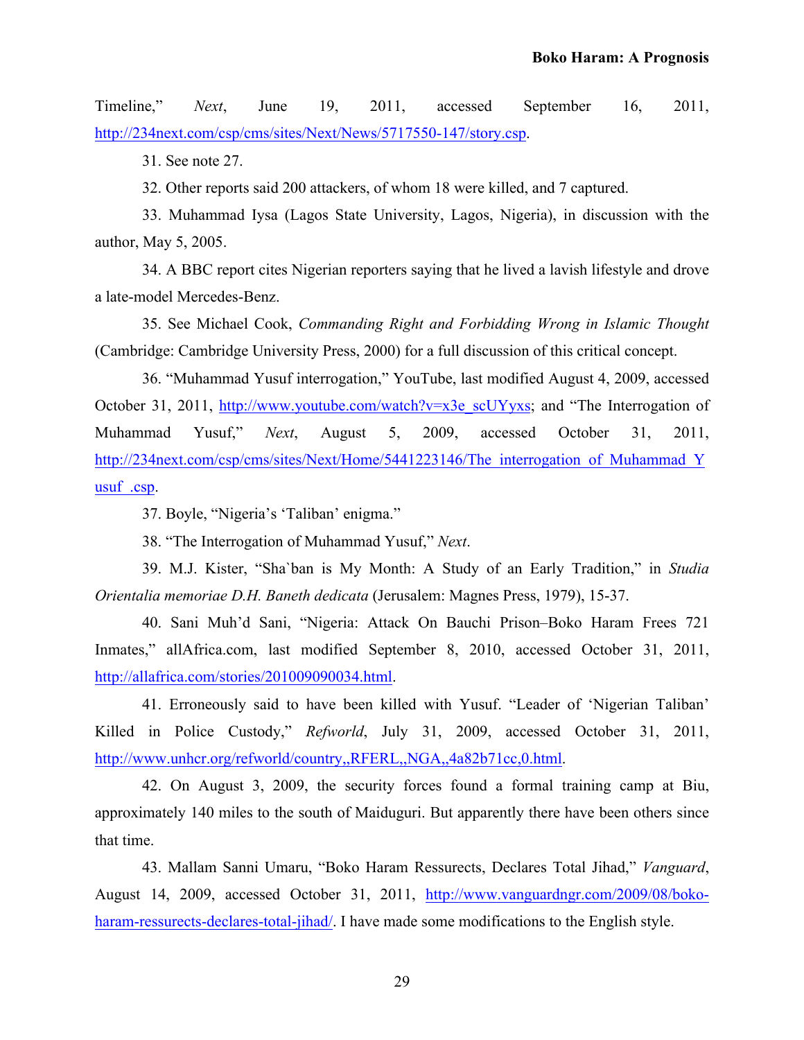Timeline," *Next*, June 19, 2011, accessed September 16, 2011, [http://234next.com/csp/cms/sites/Next/News/5717550-147/story.csp.](http://234next.com/csp/cms/sites/Next/News/5717550-147/story.csp)

31. See note 27.

32. Other reports said 200 attackers, of whom 18 were killed, and 7 captured.

33. Muhammad Iysa (Lagos State University, Lagos, Nigeria), in discussion with the author, May 5, 2005.

34. A BBC report cites Nigerian reporters saying that he lived a lavish lifestyle and drove a late-model Mercedes-Benz.

35. See Michael Cook, *Commanding Right and Forbidding Wrong in Islamic Thought* (Cambridge: Cambridge University Press, 2000) for a full discussion of this critical concept.

36. "Muhammad Yusuf interrogation," YouTube, last modified August 4, 2009, accessed October 31, 2011, [http://www.youtube.com/watch?v=x3e\\_scUYyxs](http://www.youtube.com/watch?v=x3e_scUYyxs); and "The Interrogation of Muhammad Yusuf," *Next*, August 5, 2009, accessed October 31, 2011, http://234next.com/csp/cms/sites/Next/Home/5441223146/The interrogation of Muhammad Y usuf .csp.

37. Boyle, "Nigeria's 'Taliban' enigma."

38. "The Interrogation of Muhammad Yusuf," *Next*.

39. M.J. Kister, "Sha`ban is My Month: A Study of an Early Tradition," in *Studia Orientalia memoriae D.H. Baneth dedicata* (Jerusalem: Magnes Press, 1979), 15-37.

40. Sani Muh'd Sani, "Nigeria: Attack On Bauchi Prison–Boko Haram Frees 721 Inmates," allAfrica.com, last modified September 8, 2010, accessed October 31, 2011, [http://allafrica.com/stories/201009090034.html.](http://allafrica.com/stories/201009090034.html)

41. Erroneously said to have been killed with Yusuf. "Leader of 'Nigerian Taliban' Killed in Police Custody," *Refworld*, July 31, 2009, accessed October 31, 2011, <http://www.unhcr.org/refworld/country,,RFERL,,NGA,,4a82b71cc,0.html>.

42. On August 3, 2009, the security forces found a formal training camp at Biu, approximately 140 miles to the south of Maiduguri. But apparently there have been others since that time.

43. Mallam Sanni Umaru, "Boko Haram Ressurects, Declares Total Jihad," *Vanguard*, [August 14, 2009, accessed October 31, 2011, http://www.vanguardngr.com/2009/08/boko](http://www.vanguardngr.com/2009/08/boko-haram-ressurects-declares-total-jihad/)haram-ressurects-declares-total-jihad. I have made some modifications to the English style.

29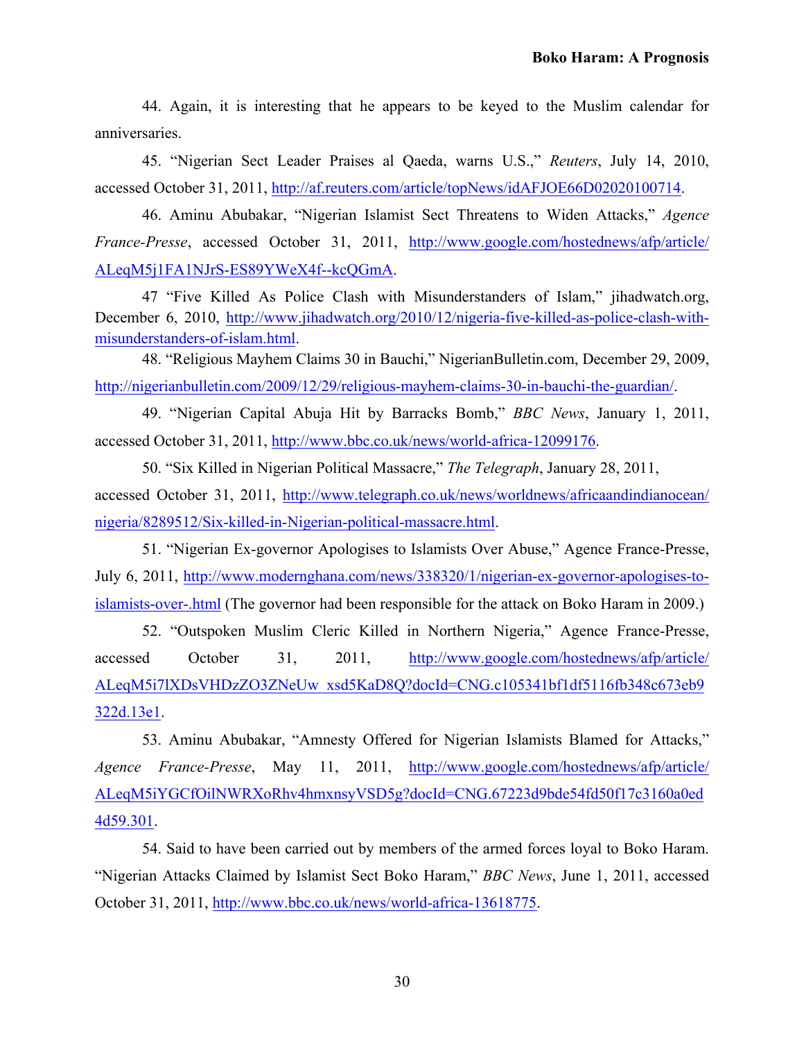44. Again, it is interesting that he appears to be keyed to the Muslim calendar for anniversaries.

45. "Nigerian Sect Leader Praises al Qaeda, warns U.S.," *Reuters*, July 14, 2010, accessed October 31, 2011, [http://af.reuters.com/article/topNews/idAFJOE66D02020100714.](http://af.reuters.com/article/topNews/idAFJOE66D02020100714)

46. Aminu Abubakar, "Nigerian Islamist Sect Threatens to Widen Attacks," *Agence France-Presse*[, accessed October 31, 2011, http://www.google.com/hostednews/afp/article/](www.google.com/hostednews/afp/article/ALeqM5j1FA1NJrS-ES89YWeX4f--kcQGmA) ALeqM5j1FA1NJrS-ES89YWeX4f--kcQGmA.

47 "Five Killed As Police Clash with Misunderstanders of Islam," jihadwatch.org, [December 6, 2010, http://www.jihadwatch.org/2010/12/nigeria-five-killed-as-police-clash-with](http://www.jihadwatch.org/2010/12/nigeria-five-killed-as-police-clash-with-misunderstanders-of-islam.html)misunderstanders-of-islam.html.

48. "Religious Mayhem Claims 30 in Bauchi," NigerianBulletin.com, December 29, 2009, <http://nigerianbulletin.com/2009/12/29/religious-mayhem-claims-30-in-bauchi-the-guardian/>.

49. "Nigerian Capital Abuja Hit by Barracks Bomb," *BBC News*, January 1, 2011, accessed October 31, 2011, [http://www.bbc.co.uk/news/world-africa-12099176.](http://www.bbc.co.uk/news/world-africa-12099176)

50. "Six Killed in Nigerian Political Massacre," *The Telegraph*, January 28, 2011, [accessed October 31, 2011, http://www.telegraph.co.uk/news/worldnews/africaandindianocean/](www.telegraph.co.uk/news/worldnews/africaandindianocean/nigeria/8289512/Six-killed-in-Nigerian-political-massacre.html) nigeria/8289512/Six-killed-in-Nigerian-political-massacre.html.

51. "Nigerian Ex-governor Apologises to Islamists Over Abuse," Agence France-Presse, [July 6, 2011, http://www.modernghana.com/news/338320/1/nigerian-ex-governor-apologises-to](http://www.modernghana.com/news/338320/1/nigerian-ex-governor-apologises-to-islamists-over-.html)islamists-over-.html (The governor had been responsible for the attack on Boko Haram in 2009.)

52. "Outspoken Muslim Cleric Killed in Northern Nigeria," Agence France-Presse, [accessed October 31, 2011, http://www.google.com/hostednews/afp/article/](www.google.com/hostednews/afp/article/ALeqM5i7lXDsVHDzZO3ZNeUw_xsd5KaD8Q?docId=CNG.c105341bf1df5116fb348c673eb9322d.13e1) ALeqM5i7lXDsVHDzZO3ZNeUw\_xsd5KaD8Q?docId=CNG.c105341bf1df5116fb348c673eb9 322d.13e1.

53. Aminu Abubakar, "Amnesty Offered for Nigerian Islamists Blamed for Attacks," *Agence France-Presse*, May 11, 2011, http://www.google.com/hostednews/afp/article/ [ALeqM5iYGCfOilNWRXoRhv4hmxnsyVSD5g?docId=CNG.67223d9bde54fd50f17c3160a0ed](http://www.google.com/hostednews/afp/article/ALeqM5iYGCfOilNWRXoRhv4hmxnsyVSD5g?docId=CNG.67223d9bde54fd50f17c3160a0ed4d59.301) 4d59.301.

54. Said to have been carried out by members of the armed forces loyal to Boko Haram. "Nigerian Attacks Claimed by Islamist Sect Boko Haram," *BBC News*, June 1, 2011, accessed October 31, 2011, [http://www.bbc.co.uk/news/world-africa-13618775.](http://www.bbc.co.uk/news/world-africa-13618775)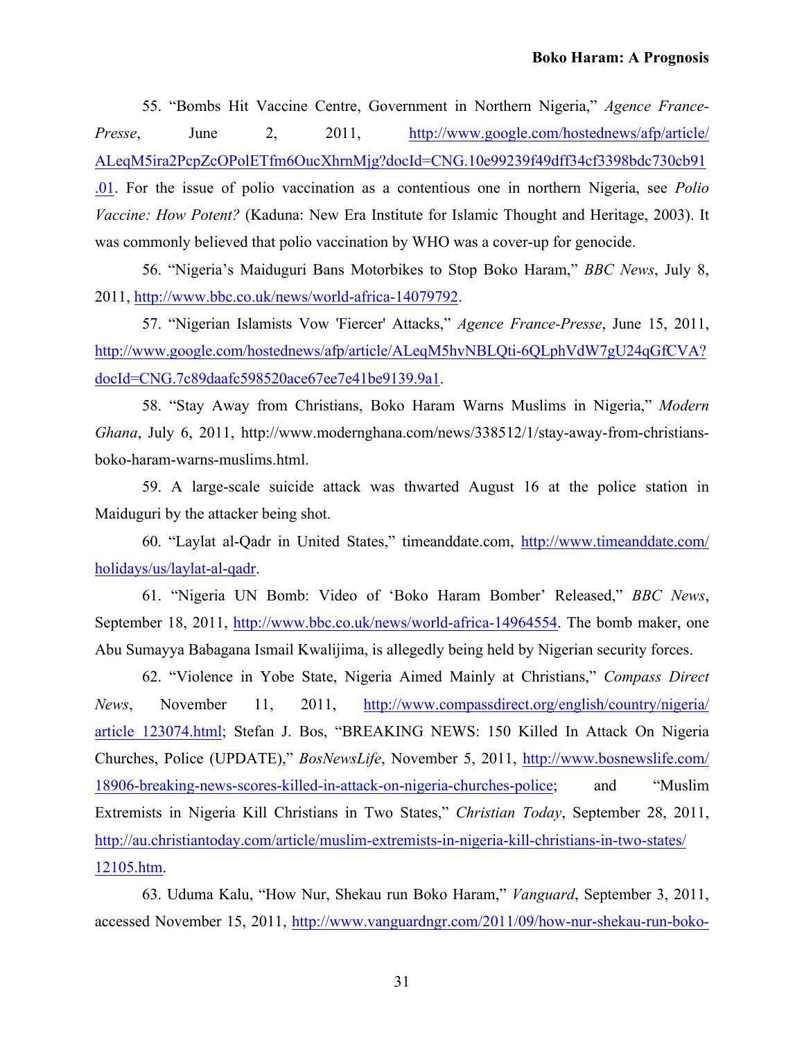55. "Bombs Hit Vaccine Centre, Government in Northern Nigeria," *Agence France-Presse*, June 2, 2011, http://www.google.com/hostednews/afp/article/ [ALeqM5ira2PcpZcOPolETfm6OucXhrnMjg?docId=CNG.10e99239f49dff34cf3398bdc730cb91](http://www.google.com/hostednews/afp/article/ALeqM5ira2PcpZcOPolETfm6OucXhrnMjg?docId=CNG.10e99239f49dff34cf3398bdc730cb91.01) .01. For the issue of polio vaccination as a contentious one in northern Nigeria, see *Polio Vaccine: How Potent?* (Kaduna: New Era Institute for Islamic Thought and Heritage, 2003). It was commonly believed that polio vaccination by WHO was a cover-up for genocide.

56. "Nigeria's Maiduguri Bans Motorbikes to Stop Boko Haram," *BBC News*, July 8, 2011,<http://www.bbc.co.uk/news/world-africa-14079792>.

57. "Nigerian Islamists Vow 'Fiercer' Attacks," *Agence France-Presse*, June 15, 2011, [http://www.google.com/hostednews/afp/article/ALeqM5hvNBLQti-6QLphVdW7gU24qGfCVA?](http://www.google.com/hostednews/afp/article/ALeqM5hvNBLQti-6QLphVdW7gU24qGfCVA?docId=CNG.7c89daafc598520ace67ee7e41be9139.9a1) docId=CNG.7c89daafc598520ace67ee7e41be9139.9a1.

58. "Stay Away from Christians, Boko Haram Warns Muslims in Nigeria," *Modern Ghana*, July 6, 2011, http://www.modernghana.com/news/338512/1/stay-away-from-christiansboko-haram-warns-muslims.html.

59. A large-scale suicide attack was thwarted August 16 at the police station in Maiduguri by the attacker being shot.

[60. "Laylat al-Qadr in United States," timeanddate.com, http://www.timeanddate.com/](http://www.timeanddate.com/holidays/us/laylat-al-qadr) holidays/us/laylat-al-qadr.

61. "Nigeria UN Bomb: Video of 'Boko Haram Bomber' Released," *BBC News*, September 18, 2011, [http://www.bbc.co.uk/news/world-africa-14964554.](http://www.bbc.co.uk/news/world-africa-14964554) The bomb maker, one Abu Sumayya Babagana Ismail Kwalijima, is allegedly being held by Nigerian security forces.

62. "Violence in Yobe State, Nigeria Aimed Mainly at Christians," *Compass Direct News*, November 11, 2011, http://www.compassdirect.org/english/country/nigeria/ [article\\_123074.html; Stefan J. Bos, "BREAKING NEWS: 150 Killed In Attack On Nigeria](http://www.compassdirect.org/english/country/nigeria/article_123074.html) Churches, Police (UPDATE)," *BosNewsLife*, November 5, 2011, http://www.bosnewslife.com/ [18906-breaking-news-scores-killed-in-attack-on-nigeria-churches-police; and "Muslim](http://www.bosnewslife.com/18906-breaking-news-scores-killed-in-attack-on-nigeria-churches-police) Extremists in Nigeria Kill Christians in Two States," *Christian Today*, September 28, 2011, [http://au.christiantoday.com/article/muslim-extremists-in-nigeria-kill-christians-in-two-states/](http://au.christiantoday.com/article/muslim-extremists-in-nigeria-kill-christians-in-two-states/12105.htm)  12105.htm.

63. Uduma Kalu, "How Nur, Shekau run Boko Haram," *Vanguard*, September 3, 2011, [accessed November 15, 2011, http://www.vanguardngr.com/2011/09/how-nur-shekau-run-boko-](http://www.vanguardngr.com/2011/09/how-nur-shekau-run-boko-haram/)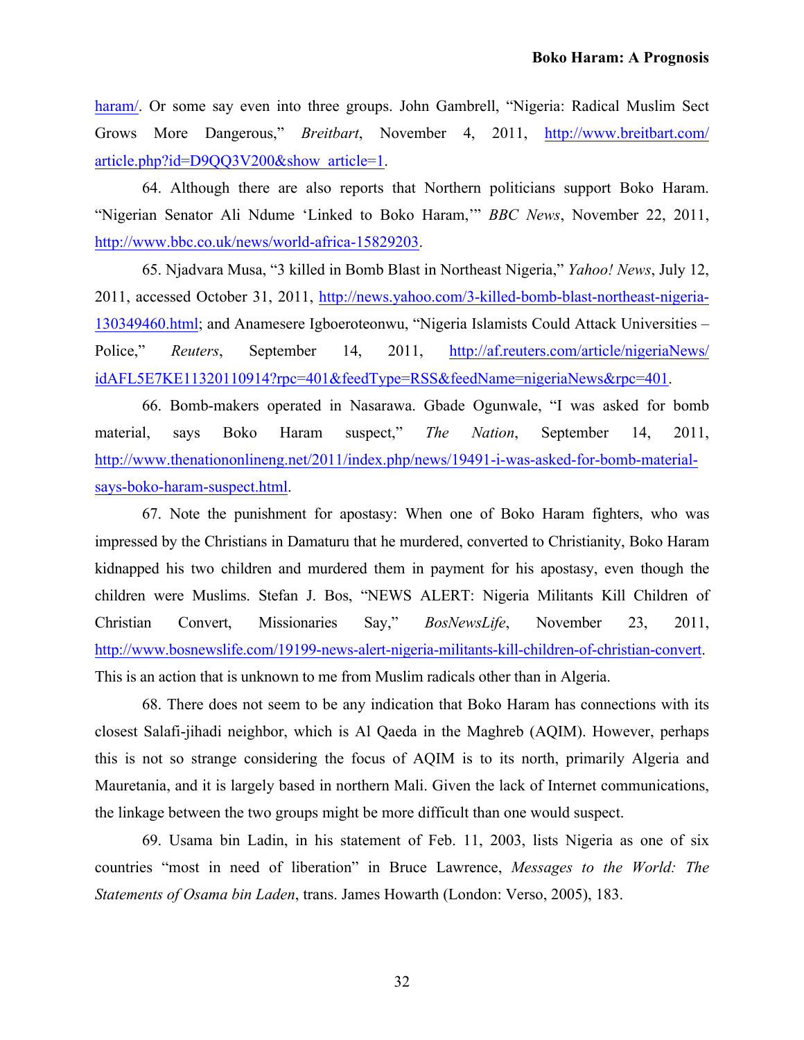[haram/.](http://www.vanguardngr.com/2011/09/how-nur-shekau-run-boko-haram/) Or some say even into three groups. John Gambrell, "Nigeria: Radical Muslim Sect Grows More Dangerous," *Breitbart*[, November 4, 2011, http://www.breitbart.com/](http://www.breitbart.com/article.php?id=D9QQ3V200&show_article=1) article.php?id=D9QQ3V200&show\_article=1.

64. Although there are also reports that Northern politicians support Boko Haram. "Nigerian Senator Ali Ndume 'Linked to Boko Haram,'" *BBC News*, November 22, 2011, <http://www.bbc.co.uk/news/world-africa-15829203>.

65. Njadvara Musa, "3 killed in Bomb Blast in Northeast Nigeria," *Yahoo! News*, July 12, [2011, accessed October 31, 2011, http://news.yahoo.com/3-killed-bomb-blast-northeast-nigeria-](http://news.yahoo.com/3-killed-bomb-blast-northeast-nigeria-130349460.html)130349460.html; and Anamesere Igboeroteonwu, "Nigeria Islamists Could Attack Universities – Police," *Reuters*, September 14, 2011, http://af.reuters.com/article/nigeriaNews/ [idAFL5E7KE11320110914?rpc=401&feedType=RSS&feedName=nigeriaNews&rpc=401.](http://af.reuters.com/article/nigeriaNews/idAFL5E7KE11320110914?rpc=401&feedType=RSS&feedName=nigeriaNews&rpc=401) 

66. Bomb-makers operated in Nasarawa. Gbade Ogunwale, "I was asked for bomb material, says Boko Haram suspect," *The Nation*, September 14, 2011, [http://www.thenationonlineng.net/2011/index.php/news/19491-i-was-asked-for-bomb-material](http://www.thenationonlineng.net/2011/index.php/news/19491-i-was-asked-for-bomb-material-says-boko-haram-suspect.html)says-boko-haram-suspect.html.

67. Note the punishment for apostasy: When one of Boko Haram fighters, who was impressed by the Christians in Damaturu that he murdered, converted to Christianity, Boko Haram kidnapped his two children and murdered them in payment for his apostasy, even though the children were Muslims. Stefan J. Bos, "NEWS ALERT: Nigeria Militants Kill Children of Christian Convert, Missionaries Say," *BosNewsLife*, November 23, 2011, [http://www.bosnewslife.com/19199-news-alert-nigeria-militants-kill-children-of-christian-convert.](http://www.bosnewslife.com/19199-news-alert-nigeria-militants-kill-children-of-christian-convert) This is an action that is unknown to me from Muslim radicals other than in Algeria.

68. There does not seem to be any indication that Boko Haram has connections with its closest Salafi-jihadi neighbor, which is Al Qaeda in the Maghreb (AQIM). However, perhaps this is not so strange considering the focus of AQIM is to its north, primarily Algeria and Mauretania, and it is largely based in northern Mali. Given the lack of Internet communications, the linkage between the two groups might be more difficult than one would suspect.

69. Usama bin Ladin, in his statement of Feb. 11, 2003, lists Nigeria as one of six countries "most in need of liberation" in Bruce Lawrence, *Messages to the World: The Statements of Osama bin Laden*, trans. James Howarth (London: Verso, 2005), 183.